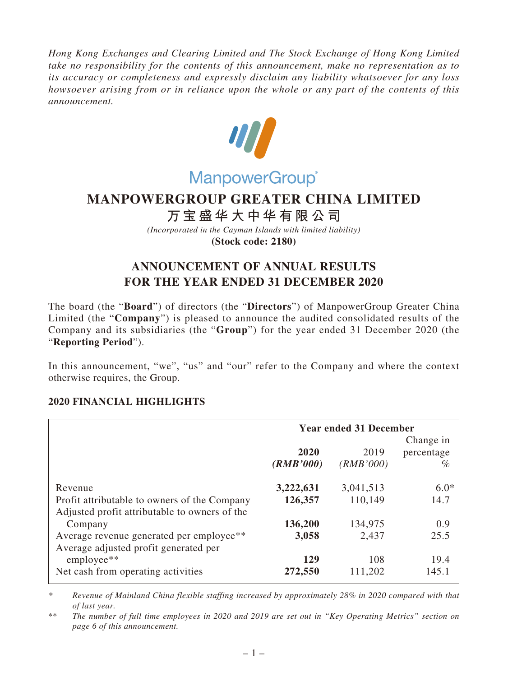*Hong Kong Exchanges and Clearing Limited and The Stock Exchange of Hong Kong Limited take no responsibility for the contents of this announcement, make no representation as to its accuracy or completeness and expressly disclaim any liability whatsoever for any loss howsoever arising from or in reliance upon the whole or any part of the contents of this announcement.*



# **MANPOWERGROUP GREATER CHINA LIMITED**

# **万宝盛华大中华有限公司**

*(Incorporated in the Cayman Islands with limited liability)* **(Stock code: 2180)**

# **ANNOUNCEMENT OF ANNUAL RESULTS FOR THE YEAR ENDED 31 DECEMBER 2020**

The board (the "**Board**") of directors (the "**Directors**") of ManpowerGroup Greater China Limited (the "**Company**") is pleased to announce the audited consolidated results of the Company and its subsidiaries (the "**Group**") for the year ended 31 December 2020 (the "**Reporting Period**").

In this announcement, "we", "us" and "our" refer to the Company and where the context otherwise requires, the Group.

# **2020 FINANCIAL HIGHLIGHTS**

|                                               | <b>Year ended 31 December</b> |           |            |  |
|-----------------------------------------------|-------------------------------|-----------|------------|--|
|                                               |                               |           | Change in  |  |
|                                               | 2020                          | 2019      | percentage |  |
|                                               | (RMB'000)                     | (RMB'000) | $\%$       |  |
| Revenue                                       | 3,222,631                     | 3,041,513 | $6.0*$     |  |
| Profit attributable to owners of the Company  | 126,357                       | 110,149   | 14.7       |  |
| Adjusted profit attributable to owners of the |                               |           |            |  |
| Company                                       | 136,200                       | 134,975   | 0.9        |  |
| Average revenue generated per employee**      | 3,058                         | 2,437     | 25.5       |  |
| Average adjusted profit generated per         |                               |           |            |  |
| employee**                                    | 129                           | 108       | 19.4       |  |
| Net cash from operating activities            | 272,550                       | 111,202   | 145.1      |  |

*\* Revenue of Mainland China flexible staffing increased by approximately 28% in 2020 compared with that of last year.*

<sup>\*\*</sup> *The number of full time employees in 2020 and 2019 are set out in "Key Operating Metrics" section on page 6 of this announcement.*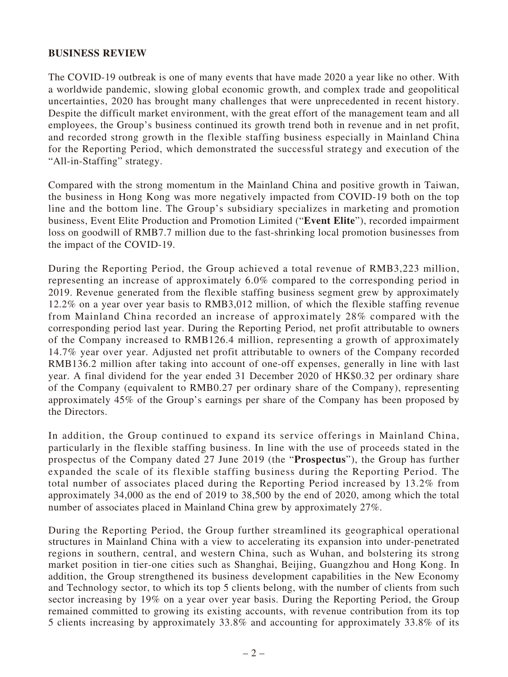## **BUSINESS REVIEW**

The COVID-19 outbreak is one of many events that have made 2020 a year like no other. With a worldwide pandemic, slowing global economic growth, and complex trade and geopolitical uncertainties, 2020 has brought many challenges that were unprecedented in recent history. Despite the difficult market environment, with the great effort of the management team and all employees, the Group's business continued its growth trend both in revenue and in net profit, and recorded strong growth in the flexible staffing business especially in Mainland China for the Reporting Period, which demonstrated the successful strategy and execution of the "All-in-Staffing" strategy.

Compared with the strong momentum in the Mainland China and positive growth in Taiwan, the business in Hong Kong was more negatively impacted from COVID-19 both on the top line and the bottom line. The Group's subsidiary specializes in marketing and promotion business, Event Elite Production and Promotion Limited ("**Event Elite**"), recorded impairment loss on goodwill of RMB7.7 million due to the fast-shrinking local promotion businesses from the impact of the COVID-19.

During the Reporting Period, the Group achieved a total revenue of RMB3,223 million, representing an increase of approximately 6.0% compared to the corresponding period in 2019. Revenue generated from the flexible staffing business segment grew by approximately 12.2% on a year over year basis to RMB3,012 million, of which the flexible staffing revenue from Mainland China recorded an increase of approximately 28% compared with the corresponding period last year. During the Reporting Period, net profit attributable to owners of the Company increased to RMB126.4 million, representing a growth of approximately 14.7% year over year. Adjusted net profit attributable to owners of the Company recorded RMB136.2 million after taking into account of one-off expenses, generally in line with last year. A final dividend for the year ended 31 December 2020 of HK\$0.32 per ordinary share of the Company (equivalent to RMB0.27 per ordinary share of the Company), representing approximately 45% of the Group's earnings per share of the Company has been proposed by the Directors.

In addition, the Group continued to expand its service offerings in Mainland China, particularly in the flexible staffing business. In line with the use of proceeds stated in the prospectus of the Company dated 27 June 2019 (the "**Prospectus**"), the Group has further expanded the scale of its flexible staffing business during the Reporting Period. The total number of associates placed during the Reporting Period increased by 13.2% from approximately 34,000 as the end of 2019 to 38,500 by the end of 2020, among which the total number of associates placed in Mainland China grew by approximately 27%.

During the Reporting Period, the Group further streamlined its geographical operational structures in Mainland China with a view to accelerating its expansion into under-penetrated regions in southern, central, and western China, such as Wuhan, and bolstering its strong market position in tier-one cities such as Shanghai, Beijing, Guangzhou and Hong Kong. In addition, the Group strengthened its business development capabilities in the New Economy and Technology sector, to which its top 5 clients belong, with the number of clients from such sector increasing by 19% on a year over year basis. During the Reporting Period, the Group remained committed to growing its existing accounts, with revenue contribution from its top 5 clients increasing by approximately 33.8% and accounting for approximately 33.8% of its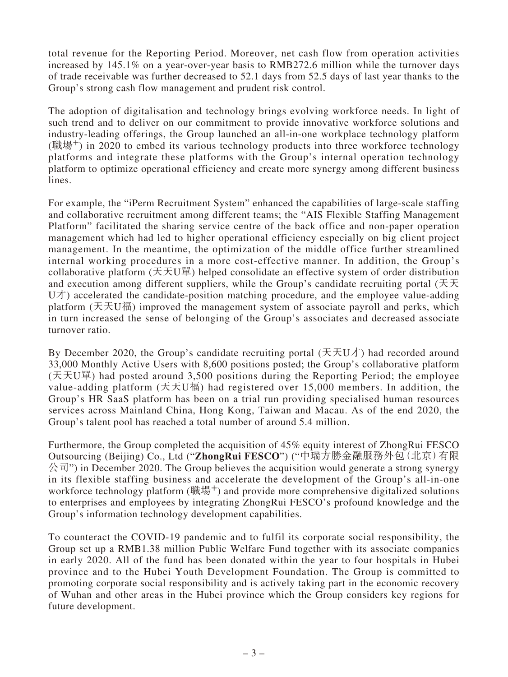total revenue for the Reporting Period. Moreover, net cash flow from operation activities increased by 145.1% on a year-over-year basis to RMB272.6 million while the turnover days of trade receivable was further decreased to 52.1 days from 52.5 days of last year thanks to the Group's strong cash flow management and prudent risk control.

The adoption of digitalisation and technology brings evolving workforce needs. In light of such trend and to deliver on our commitment to provide innovative workforce solutions and industry-leading offerings, the Group launched an all-in-one workplace technology platform (職場<sup>+</sup>) in 2020 to embed its various technology products into three workforce technology platforms and integrate these platforms with the Group's internal operation technology platform to optimize operational efficiency and create more synergy among different business lines.

For example, the "iPerm Recruitment System" enhanced the capabilities of large-scale staffing and collaborative recruitment among different teams; the "AIS Flexible Staffing Management Platform" facilitated the sharing service centre of the back office and non-paper operation management which had led to higher operational efficiency especially on big client project management. In the meantime, the optimization of the middle office further streamlined internal working procedures in a more cost-effective manner. In addition, the Group's collaborative platform  $( \overline{X} \overline{X} U \overline{H})$  helped consolidate an effective system of order distribution and execution among different suppliers, while the Group's candidate recruiting portal ( $\pm \pm$  $U\dot{\uparrow}$ ) accelerated the candidate-position matching procedure, and the employee value-adding platform (天天U福) improved the management system of associate payroll and perks, which in turn increased the sense of belonging of the Group's associates and decreased associate turnover ratio.

By December 2020, the Group's candidate recruiting portal  $(\pm \pm \sqrt{U/\tau})$  had recorded around 33,000 Monthly Active Users with 8,600 positions posted; the Group's collaborative platform (天天U單) had posted around 3,500 positions during the Reporting Period; the employee value-adding platform  $(5.704)$  had registered over 15,000 members. In addition, the Group's HR SaaS platform has been on a trial run providing specialised human resources services across Mainland China, Hong Kong, Taiwan and Macau. As of the end 2020, the Group's talent pool has reached a total number of around 5.4 million.

Furthermore, the Group completed the acquisition of 45% equity interest of ZhongRui FESCO Outsourcing (Beijing) Co., Ltd ("**ZhongRui FESCO**") ("中瑞方勝金融服務外包(北京)有限  $\Diamond \exists$  ") in December 2020. The Group believes the acquisition would generate a strong synergy in its flexible staffing business and accelerate the development of the Group's all-in-one workforce technology platform (職場<sup>+</sup>) and provide more comprehensive digitalized solutions to enterprises and employees by integrating ZhongRui FESCO's profound knowledge and the Group's information technology development capabilities.

To counteract the COVID-19 pandemic and to fulfil its corporate social responsibility, the Group set up a RMB1.38 million Public Welfare Fund together with its associate companies in early 2020. All of the fund has been donated within the year to four hospitals in Hubei province and to the Hubei Youth Development Foundation. The Group is committed to promoting corporate social responsibility and is actively taking part in the economic recovery of Wuhan and other areas in the Hubei province which the Group considers key regions for future development.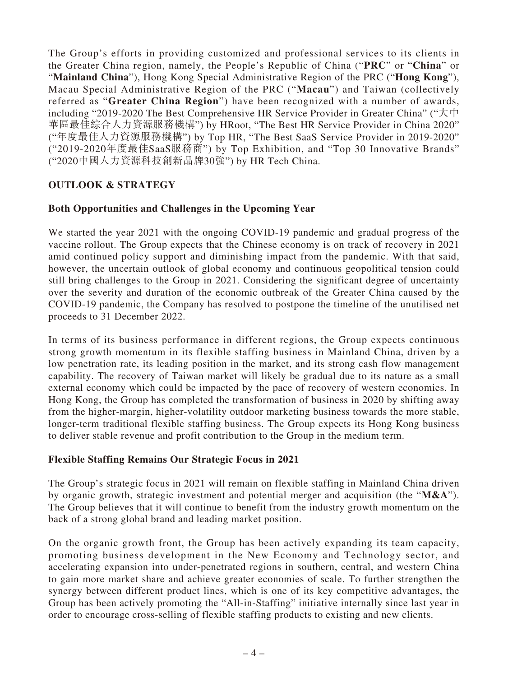The Group's efforts in providing customized and professional services to its clients in the Greater China region, namely, the People's Republic of China ("**PRC**" or "**China**" or "**Mainland China**"), Hong Kong Special Administrative Region of the PRC ("**Hong Kong**"), Macau Special Administrative Region of the PRC ("**Macau**") and Taiwan (collectively referred as "**Greater China Region**") have been recognized with a number of awards, including "2019-2020 The Best Comprehensive HR Service Provider in Greater China" ("大中 華區最佳綜合人力資源服務機構") by HRoot, "The Best HR Service Provider in China 2020" ("年度最佳人力資源服務機構") by Top HR, "The Best SaaS Service Provider in 2019-2020" ("2019-2020年度最佳SaaS服務商") by Top Exhibition, and "Top 30 Innovative Brands" ("2020中國人力資源科技創新品牌30強") by HR Tech China.

# **OUTLOOK & STRATEGY**

# **Both Opportunities and Challenges in the Upcoming Year**

We started the year 2021 with the ongoing COVID-19 pandemic and gradual progress of the vaccine rollout. The Group expects that the Chinese economy is on track of recovery in 2021 amid continued policy support and diminishing impact from the pandemic. With that said, however, the uncertain outlook of global economy and continuous geopolitical tension could still bring challenges to the Group in 2021. Considering the significant degree of uncertainty over the severity and duration of the economic outbreak of the Greater China caused by the COVID-19 pandemic, the Company has resolved to postpone the timeline of the unutilised net proceeds to 31 December 2022.

In terms of its business performance in different regions, the Group expects continuous strong growth momentum in its flexible staffing business in Mainland China, driven by a low penetration rate, its leading position in the market, and its strong cash flow management capability. The recovery of Taiwan market will likely be gradual due to its nature as a small external economy which could be impacted by the pace of recovery of western economies. In Hong Kong, the Group has completed the transformation of business in 2020 by shifting away from the higher-margin, higher-volatility outdoor marketing business towards the more stable, longer-term traditional flexible staffing business. The Group expects its Hong Kong business to deliver stable revenue and profit contribution to the Group in the medium term.

## **Flexible Staffing Remains Our Strategic Focus in 2021**

The Group's strategic focus in 2021 will remain on flexible staffing in Mainland China driven by organic growth, strategic investment and potential merger and acquisition (the "**M&A**"). The Group believes that it will continue to benefit from the industry growth momentum on the back of a strong global brand and leading market position.

On the organic growth front, the Group has been actively expanding its team capacity, promoting business development in the New Economy and Technology sector, and accelerating expansion into under-penetrated regions in southern, central, and western China to gain more market share and achieve greater economies of scale. To further strengthen the synergy between different product lines, which is one of its key competitive advantages, the Group has been actively promoting the "All-in-Staffing" initiative internally since last year in order to encourage cross-selling of flexible staffing products to existing and new clients.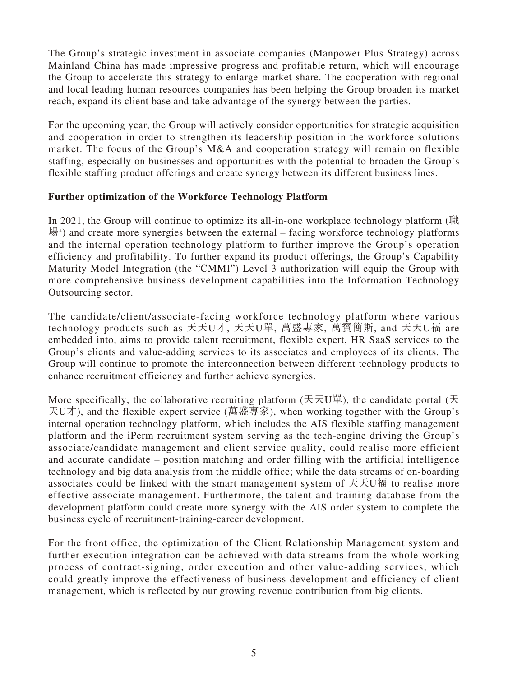The Group's strategic investment in associate companies (Manpower Plus Strategy) across Mainland China has made impressive progress and profitable return, which will encourage the Group to accelerate this strategy to enlarge market share. The cooperation with regional and local leading human resources companies has been helping the Group broaden its market reach, expand its client base and take advantage of the synergy between the parties.

For the upcoming year, the Group will actively consider opportunities for strategic acquisition and cooperation in order to strengthen its leadership position in the workforce solutions market. The focus of the Group's M&A and cooperation strategy will remain on flexible staffing, especially on businesses and opportunities with the potential to broaden the Group's flexible staffing product offerings and create synergy between its different business lines.

# **Further optimization of the Workforce Technology Platform**

In 2021, the Group will continue to optimize its all-in-one workplace technology platform (職  $\frac{11}{20}$  and create more synergies between the external – facing workforce technology platforms and the internal operation technology platform to further improve the Group's operation efficiency and profitability. To further expand its product offerings, the Group's Capability Maturity Model Integration (the "CMMI") Level 3 authorization will equip the Group with more comprehensive business development capabilities into the Information Technology Outsourcing sector.

The candidate/client/associate-facing workforce technology platform where various technology products such as 天天U才, 天天U單, 萬盛專家, 萬寶簡斯, and 天天U福 are embedded into, aims to provide talent recruitment, flexible expert, HR SaaS services to the Group's clients and value-adding services to its associates and employees of its clients. The Group will continue to promote the interconnection between different technology products to enhance recruitment efficiency and further achieve synergies.

More specifically, the collaborative recruiting platform (天天U單), the candidate portal (天 天U才), and the flexible expert service (萬盛專家), when working together with the Group's internal operation technology platform, which includes the AIS flexible staffing management platform and the iPerm recruitment system serving as the tech-engine driving the Group's associate/candidate management and client service quality, could realise more efficient and accurate candidate – position matching and order filling with the artificial intelligence technology and big data analysis from the middle office; while the data streams of on-boarding associates could be linked with the smart management system of 天天U福 to realise more effective associate management. Furthermore, the talent and training database from the development platform could create more synergy with the AIS order system to complete the business cycle of recruitment-training-career development.

For the front office, the optimization of the Client Relationship Management system and further execution integration can be achieved with data streams from the whole working process of contract-signing, order execution and other value-adding services, which could greatly improve the effectiveness of business development and efficiency of client management, which is reflected by our growing revenue contribution from big clients.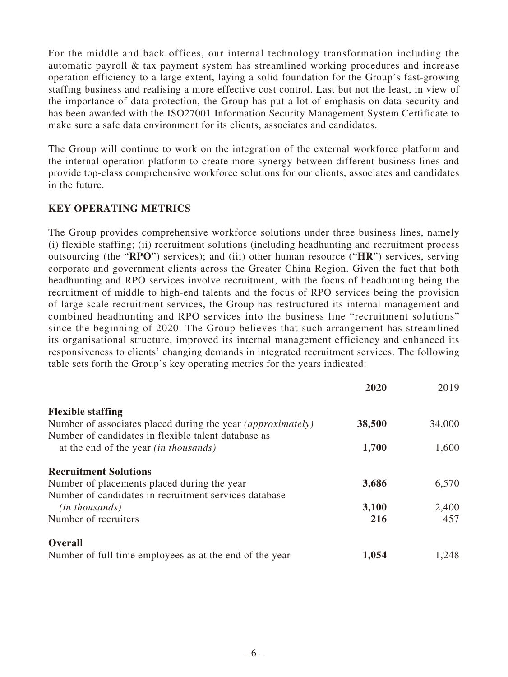For the middle and back offices, our internal technology transformation including the automatic payroll & tax payment system has streamlined working procedures and increase operation efficiency to a large extent, laying a solid foundation for the Group's fast-growing staffing business and realising a more effective cost control. Last but not the least, in view of the importance of data protection, the Group has put a lot of emphasis on data security and has been awarded with the ISO27001 Information Security Management System Certificate to make sure a safe data environment for its clients, associates and candidates.

The Group will continue to work on the integration of the external workforce platform and the internal operation platform to create more synergy between different business lines and provide top-class comprehensive workforce solutions for our clients, associates and candidates in the future.

# **KEY OPERATING METRICS**

The Group provides comprehensive workforce solutions under three business lines, namely (i) flexible staffing; (ii) recruitment solutions (including headhunting and recruitment process outsourcing (the "**RPO**") services); and (iii) other human resource ("**HR**") services, serving corporate and government clients across the Greater China Region. Given the fact that both headhunting and RPO services involve recruitment, with the focus of headhunting being the recruitment of middle to high-end talents and the focus of RPO services being the provision of large scale recruitment services, the Group has restructured its internal management and combined headhunting and RPO services into the business line "recruitment solutions" since the beginning of 2020. The Group believes that such arrangement has streamlined its organisational structure, improved its internal management efficiency and enhanced its responsiveness to clients' changing demands in integrated recruitment services. The following table sets forth the Group's key operating metrics for the years indicated:

|                                                                    | 2020   | 2019   |
|--------------------------------------------------------------------|--------|--------|
| <b>Flexible staffing</b>                                           |        |        |
| Number of associates placed during the year <i>(approximately)</i> | 38,500 | 34,000 |
| Number of candidates in flexible talent database as                |        |        |
| at the end of the year <i>(in thousands)</i>                       | 1,700  | 1,600  |
| <b>Recruitment Solutions</b>                                       |        |        |
| Number of placements placed during the year                        | 3,686  | 6,570  |
| Number of candidates in recruitment services database              |        |        |
| $(in$ thousands)                                                   | 3,100  | 2,400  |
| Number of recruiters                                               | 216    | 457    |
| <b>Overall</b>                                                     |        |        |
| Number of full time employees as at the end of the year            | 1,054  | 1,248  |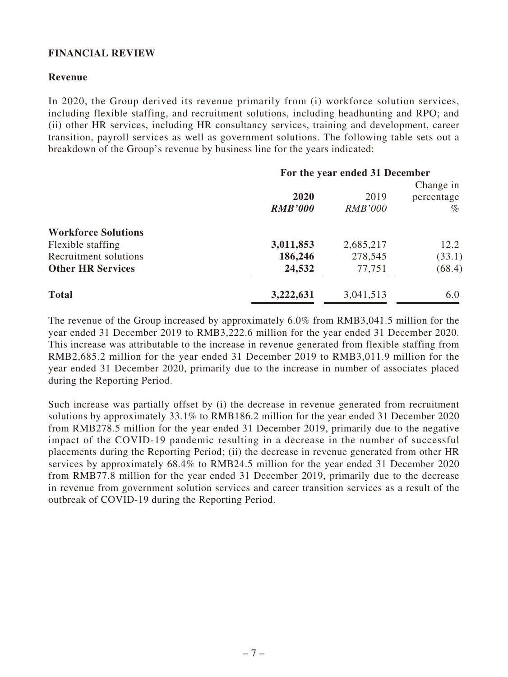# **FINANCIAL REVIEW**

## **Revenue**

In 2020, the Group derived its revenue primarily from (i) workforce solution services, including flexible staffing, and recruitment solutions, including headhunting and RPO; and (ii) other HR services, including HR consultancy services, training and development, career transition, payroll services as well as government solutions. The following table sets out a breakdown of the Group's revenue by business line for the years indicated:

|                            | For the year ended 31 December |                |            |
|----------------------------|--------------------------------|----------------|------------|
|                            |                                |                | Change in  |
|                            | 2020                           | 2019           | percentage |
|                            | <b>RMB'000</b>                 | <b>RMB'000</b> | $\%$       |
| <b>Workforce Solutions</b> |                                |                |            |
| Flexible staffing          | 3,011,853                      | 2,685,217      | 12.2       |
| Recruitment solutions      | 186,246                        | 278,545        | (33.1)     |
| <b>Other HR Services</b>   | 24,532                         | 77,751         | (68.4)     |
| <b>Total</b>               | 3,222,631                      | 3,041,513      | 6.0        |

The revenue of the Group increased by approximately 6.0% from RMB3,041.5 million for the year ended 31 December 2019 to RMB3,222.6 million for the year ended 31 December 2020. This increase was attributable to the increase in revenue generated from flexible staffing from RMB2,685.2 million for the year ended 31 December 2019 to RMB3,011.9 million for the year ended 31 December 2020, primarily due to the increase in number of associates placed during the Reporting Period.

Such increase was partially offset by (i) the decrease in revenue generated from recruitment solutions by approximately 33.1% to RMB186.2 million for the year ended 31 December 2020 from RMB278.5 million for the year ended 31 December 2019, primarily due to the negative impact of the COVID-19 pandemic resulting in a decrease in the number of successful placements during the Reporting Period; (ii) the decrease in revenue generated from other HR services by approximately 68.4% to RMB24.5 million for the year ended 31 December 2020 from RMB77.8 million for the year ended 31 December 2019, primarily due to the decrease in revenue from government solution services and career transition services as a result of the outbreak of COVID-19 during the Reporting Period.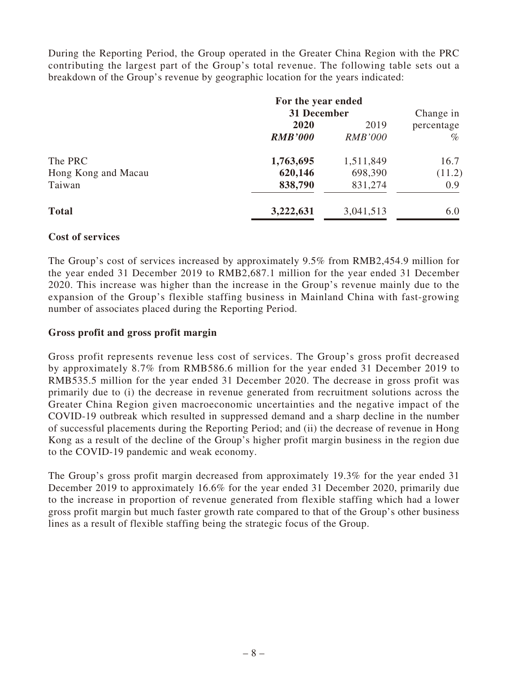During the Reporting Period, the Group operated in the Greater China Region with the PRC contributing the largest part of the Group's total revenue. The following table sets out a breakdown of the Group's revenue by geographic location for the years indicated:

|                     | For the year ended |                |            |
|---------------------|--------------------|----------------|------------|
|                     | 31 December        |                | Change in  |
|                     | 2020               | 2019           | percentage |
|                     | <b>RMB'000</b>     | <i>RMB'000</i> | $\%$       |
| The PRC             | 1,763,695          | 1,511,849      | 16.7       |
| Hong Kong and Macau | 620,146            | 698,390        | (11.2)     |
| Taiwan              | 838,790            | 831,274        | 0.9        |
| <b>Total</b>        | 3,222,631          | 3,041,513      | 6.0        |

## **Cost of services**

The Group's cost of services increased by approximately 9.5% from RMB2,454.9 million for the year ended 31 December 2019 to RMB2,687.1 million for the year ended 31 December 2020. This increase was higher than the increase in the Group's revenue mainly due to the expansion of the Group's flexible staffing business in Mainland China with fast-growing number of associates placed during the Reporting Period.

## **Gross profit and gross profit margin**

Gross profit represents revenue less cost of services. The Group's gross profit decreased by approximately 8.7% from RMB586.6 million for the year ended 31 December 2019 to RMB535.5 million for the year ended 31 December 2020. The decrease in gross profit was primarily due to (i) the decrease in revenue generated from recruitment solutions across the Greater China Region given macroeconomic uncertainties and the negative impact of the COVID-19 outbreak which resulted in suppressed demand and a sharp decline in the number of successful placements during the Reporting Period; and (ii) the decrease of revenue in Hong Kong as a result of the decline of the Group's higher profit margin business in the region due to the COVID-19 pandemic and weak economy.

The Group's gross profit margin decreased from approximately 19.3% for the year ended 31 December 2019 to approximately 16.6% for the year ended 31 December 2020, primarily due to the increase in proportion of revenue generated from flexible staffing which had a lower gross profit margin but much faster growth rate compared to that of the Group's other business lines as a result of flexible staffing being the strategic focus of the Group.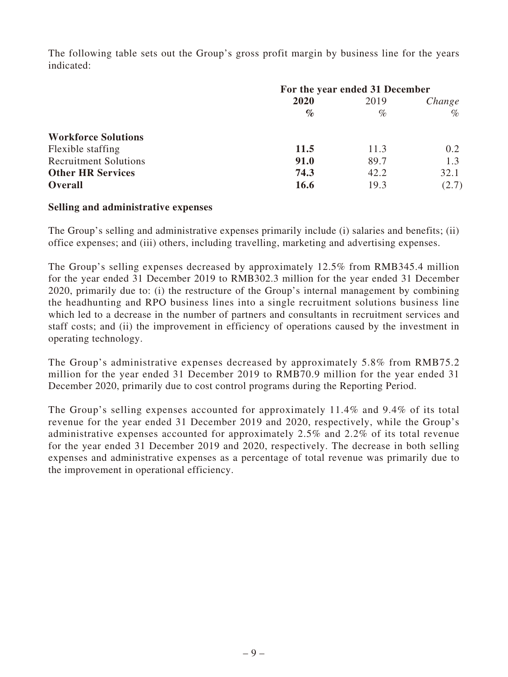The following table sets out the Group's gross profit margin by business line for the years indicated:

|                              | For the year ended 31 December |      |        |  |
|------------------------------|--------------------------------|------|--------|--|
|                              | 2020                           | 2019 | Change |  |
|                              | $\%$                           | $\%$ | $\%$   |  |
| <b>Workforce Solutions</b>   |                                |      |        |  |
| Flexible staffing            | 11.5                           | 11.3 | 0.2    |  |
| <b>Recruitment Solutions</b> | <b>91.0</b>                    | 89.7 | 1.3    |  |
| <b>Other HR Services</b>     | 74.3                           | 42.2 | 32.1   |  |
| <b>Overall</b>               | 16.6                           | 19.3 | (2.7)  |  |

## **Selling and administrative expenses**

The Group's selling and administrative expenses primarily include (i) salaries and benefits; (ii) office expenses; and (iii) others, including travelling, marketing and advertising expenses.

The Group's selling expenses decreased by approximately 12.5% from RMB345.4 million for the year ended 31 December 2019 to RMB302.3 million for the year ended 31 December 2020, primarily due to: (i) the restructure of the Group's internal management by combining the headhunting and RPO business lines into a single recruitment solutions business line which led to a decrease in the number of partners and consultants in recruitment services and staff costs; and (ii) the improvement in efficiency of operations caused by the investment in operating technology.

The Group's administrative expenses decreased by approximately 5.8% from RMB75.2 million for the year ended 31 December 2019 to RMB70.9 million for the year ended 31 December 2020, primarily due to cost control programs during the Reporting Period.

The Group's selling expenses accounted for approximately 11.4% and 9.4% of its total revenue for the year ended 31 December 2019 and 2020, respectively, while the Group's administrative expenses accounted for approximately 2.5% and 2.2% of its total revenue for the year ended 31 December 2019 and 2020, respectively. The decrease in both selling expenses and administrative expenses as a percentage of total revenue was primarily due to the improvement in operational efficiency.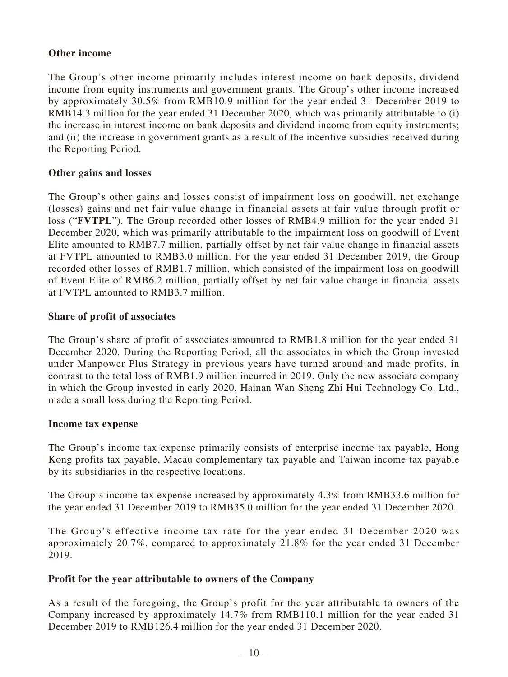# **Other income**

The Group's other income primarily includes interest income on bank deposits, dividend income from equity instruments and government grants. The Group's other income increased by approximately 30.5% from RMB10.9 million for the year ended 31 December 2019 to RMB14.3 million for the year ended 31 December 2020, which was primarily attributable to (i) the increase in interest income on bank deposits and dividend income from equity instruments; and (ii) the increase in government grants as a result of the incentive subsidies received during the Reporting Period.

## **Other gains and losses**

The Group's other gains and losses consist of impairment loss on goodwill, net exchange (losses) gains and net fair value change in financial assets at fair value through profit or loss ("**FVTPL**"). The Group recorded other losses of RMB4.9 million for the year ended 31 December 2020, which was primarily attributable to the impairment loss on goodwill of Event Elite amounted to RMB7.7 million, partially offset by net fair value change in financial assets at FVTPL amounted to RMB3.0 million. For the year ended 31 December 2019, the Group recorded other losses of RMB1.7 million, which consisted of the impairment loss on goodwill of Event Elite of RMB6.2 million, partially offset by net fair value change in financial assets at FVTPL amounted to RMB3.7 million.

## **Share of profit of associates**

The Group's share of profit of associates amounted to RMB1.8 million for the year ended 31 December 2020. During the Reporting Period, all the associates in which the Group invested under Manpower Plus Strategy in previous years have turned around and made profits, in contrast to the total loss of RMB1.9 million incurred in 2019. Only the new associate company in which the Group invested in early 2020, Hainan Wan Sheng Zhi Hui Technology Co. Ltd., made a small loss during the Reporting Period.

## **Income tax expense**

The Group's income tax expense primarily consists of enterprise income tax payable, Hong Kong profits tax payable, Macau complementary tax payable and Taiwan income tax payable by its subsidiaries in the respective locations.

The Group's income tax expense increased by approximately 4.3% from RMB33.6 million for the year ended 31 December 2019 to RMB35.0 million for the year ended 31 December 2020.

The Group's effective income tax rate for the year ended 31 December 2020 was approximately 20.7%, compared to approximately 21.8% for the year ended 31 December 2019.

## **Profit for the year attributable to owners of the Company**

As a result of the foregoing, the Group's profit for the year attributable to owners of the Company increased by approximately 14.7% from RMB110.1 million for the year ended 31 December 2019 to RMB126.4 million for the year ended 31 December 2020.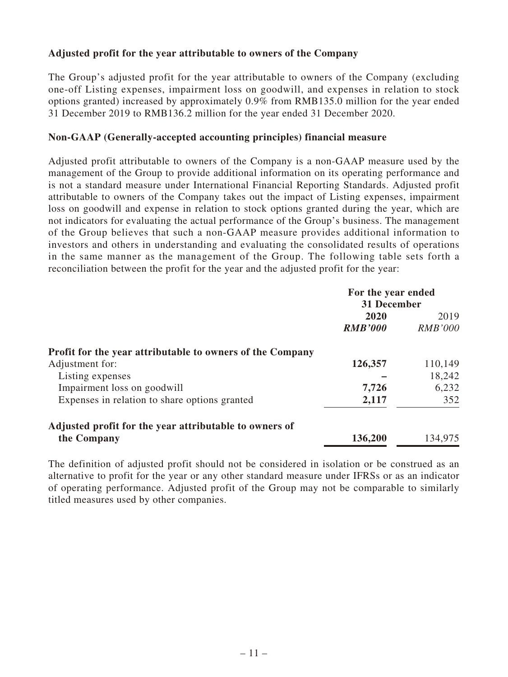# **Adjusted profit for the year attributable to owners of the Company**

The Group's adjusted profit for the year attributable to owners of the Company (excluding one-off Listing expenses, impairment loss on goodwill, and expenses in relation to stock options granted) increased by approximately 0.9% from RMB135.0 million for the year ended 31 December 2019 to RMB136.2 million for the year ended 31 December 2020.

## **Non-GAAP (Generally-accepted accounting principles) financial measure**

Adjusted profit attributable to owners of the Company is a non-GAAP measure used by the management of the Group to provide additional information on its operating performance and is not a standard measure under International Financial Reporting Standards. Adjusted profit attributable to owners of the Company takes out the impact of Listing expenses, impairment loss on goodwill and expense in relation to stock options granted during the year, which are not indicators for evaluating the actual performance of the Group's business. The management of the Group believes that such a non-GAAP measure provides additional information to investors and others in understanding and evaluating the consolidated results of operations in the same manner as the management of the Group. The following table sets forth a reconciliation between the profit for the year and the adjusted profit for the year:

|                                                           | For the year ended<br><b>31 December</b> |                |
|-----------------------------------------------------------|------------------------------------------|----------------|
|                                                           |                                          |                |
|                                                           | 2020                                     | 2019           |
|                                                           | <b>RMB'000</b>                           | <b>RMB'000</b> |
| Profit for the year attributable to owners of the Company |                                          |                |
| Adjustment for:                                           | 126,357                                  | 110,149        |
| Listing expenses                                          |                                          | 18,242         |
| Impairment loss on goodwill                               | 7,726                                    | 6,232          |
| Expenses in relation to share options granted             | 2,117                                    | 352            |
| Adjusted profit for the year attributable to owners of    |                                          |                |
| the Company                                               | 136,200                                  | 134,975        |

The definition of adjusted profit should not be considered in isolation or be construed as an alternative to profit for the year or any other standard measure under IFRSs or as an indicator of operating performance. Adjusted profit of the Group may not be comparable to similarly titled measures used by other companies.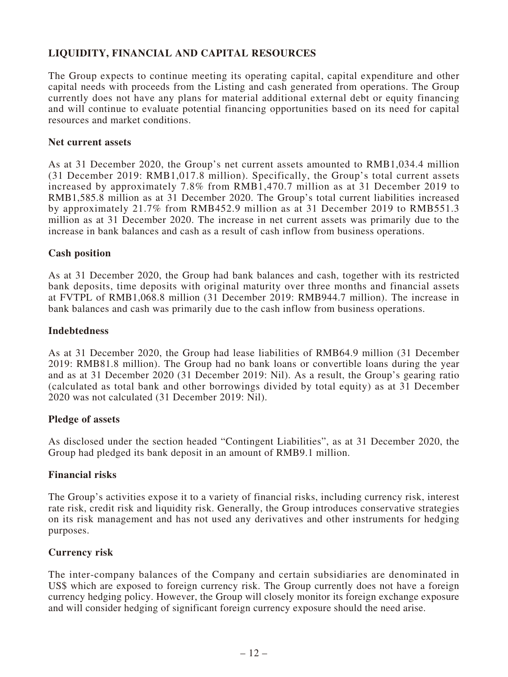# **LIQUIDITY, FINANCIAL AND CAPITAL RESOURCES**

The Group expects to continue meeting its operating capital, capital expenditure and other capital needs with proceeds from the Listing and cash generated from operations. The Group currently does not have any plans for material additional external debt or equity financing and will continue to evaluate potential financing opportunities based on its need for capital resources and market conditions.

## **Net current assets**

As at 31 December 2020, the Group's net current assets amounted to RMB1,034.4 million (31 December 2019: RMB1,017.8 million). Specifically, the Group's total current assets increased by approximately 7.8% from RMB1,470.7 million as at 31 December 2019 to RMB1,585.8 million as at 31 December 2020. The Group's total current liabilities increased by approximately 21.7% from RMB452.9 million as at 31 December 2019 to RMB551.3 million as at 31 December 2020. The increase in net current assets was primarily due to the increase in bank balances and cash as a result of cash inflow from business operations.

## **Cash position**

As at 31 December 2020, the Group had bank balances and cash, together with its restricted bank deposits, time deposits with original maturity over three months and financial assets at FVTPL of RMB1,068.8 million (31 December 2019: RMB944.7 million). The increase in bank balances and cash was primarily due to the cash inflow from business operations.

## **Indebtedness**

As at 31 December 2020, the Group had lease liabilities of RMB64.9 million (31 December 2019: RMB81.8 million). The Group had no bank loans or convertible loans during the year and as at 31 December 2020 (31 December 2019: Nil). As a result, the Group's gearing ratio (calculated as total bank and other borrowings divided by total equity) as at 31 December 2020 was not calculated (31 December 2019: Nil).

### **Pledge of assets**

As disclosed under the section headed "Contingent Liabilities", as at 31 December 2020, the Group had pledged its bank deposit in an amount of RMB9.1 million.

## **Financial risks**

The Group's activities expose it to a variety of financial risks, including currency risk, interest rate risk, credit risk and liquidity risk. Generally, the Group introduces conservative strategies on its risk management and has not used any derivatives and other instruments for hedging purposes.

### **Currency risk**

The inter-company balances of the Company and certain subsidiaries are denominated in US\$ which are exposed to foreign currency risk. The Group currently does not have a foreign currency hedging policy. However, the Group will closely monitor its foreign exchange exposure and will consider hedging of significant foreign currency exposure should the need arise.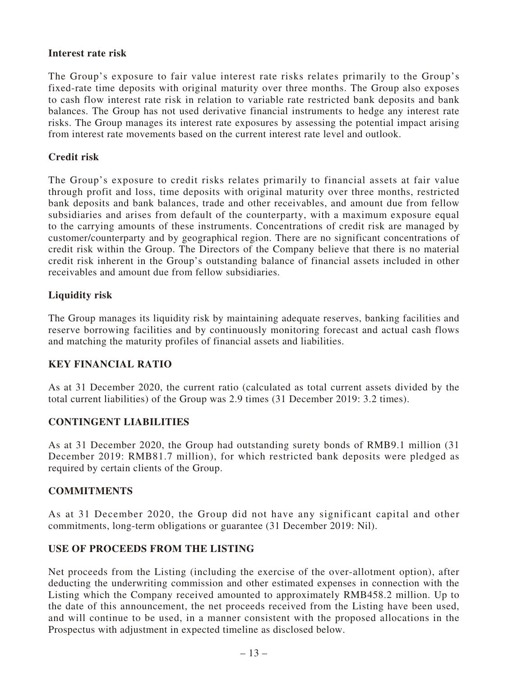## **Interest rate risk**

The Group's exposure to fair value interest rate risks relates primarily to the Group's fixed-rate time deposits with original maturity over three months. The Group also exposes to cash flow interest rate risk in relation to variable rate restricted bank deposits and bank balances. The Group has not used derivative financial instruments to hedge any interest rate risks. The Group manages its interest rate exposures by assessing the potential impact arising from interest rate movements based on the current interest rate level and outlook.

# **Credit risk**

The Group's exposure to credit risks relates primarily to financial assets at fair value through profit and loss, time deposits with original maturity over three months, restricted bank deposits and bank balances, trade and other receivables, and amount due from fellow subsidiaries and arises from default of the counterparty, with a maximum exposure equal to the carrying amounts of these instruments. Concentrations of credit risk are managed by customer/counterparty and by geographical region. There are no significant concentrations of credit risk within the Group. The Directors of the Company believe that there is no material credit risk inherent in the Group's outstanding balance of financial assets included in other receivables and amount due from fellow subsidiaries.

# **Liquidity risk**

The Group manages its liquidity risk by maintaining adequate reserves, banking facilities and reserve borrowing facilities and by continuously monitoring forecast and actual cash flows and matching the maturity profiles of financial assets and liabilities.

# **KEY FINANCIAL RATIO**

As at 31 December 2020, the current ratio (calculated as total current assets divided by the total current liabilities) of the Group was 2.9 times (31 December 2019: 3.2 times).

# **CONTINGENT LIABILITIES**

As at 31 December 2020, the Group had outstanding surety bonds of RMB9.1 million (31 December 2019: RMB81.7 million), for which restricted bank deposits were pledged as required by certain clients of the Group.

# **COMMITMENTS**

As at 31 December 2020, the Group did not have any significant capital and other commitments, long-term obligations or guarantee (31 December 2019: Nil).

# **USE OF PROCEEDS FROM THE LISTING**

Net proceeds from the Listing (including the exercise of the over-allotment option), after deducting the underwriting commission and other estimated expenses in connection with the Listing which the Company received amounted to approximately RMB458.2 million. Up to the date of this announcement, the net proceeds received from the Listing have been used, and will continue to be used, in a manner consistent with the proposed allocations in the Prospectus with adjustment in expected timeline as disclosed below.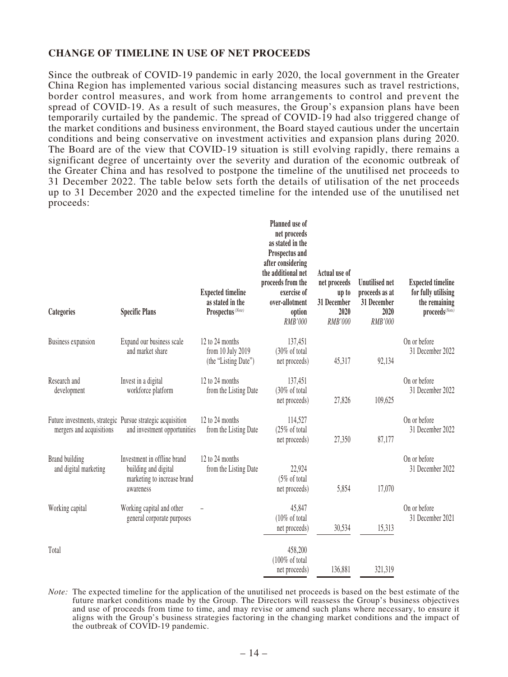## **CHANGE OF TIMELINE IN USE OF NET PROCEEDS**

Since the outbreak of COVID-19 pandemic in early 2020, the local government in the Greater China Region has implemented various social distancing measures such as travel restrictions, border control measures, and work from home arrangements to control and prevent the spread of COVID-19. As a result of such measures, the Group's expansion plans have been temporarily curtailed by the pandemic. The spread of COVID-19 had also triggered change of the market conditions and business environment, the Board stayed cautious under the uncertain conditions and being conservative on investment activities and expansion plans during 2020. The Board are of the view that COVID-19 situation is still evolving rapidly, there remains a significant degree of uncertainty over the severity and duration of the economic outbreak of the Greater China and has resolved to postpone the timeline of the unutilised net proceeds to 31 December 2022. The table below sets forth the details of utilisation of the net proceeds up to 31 December 2020 and the expected timeline for the intended use of the unutilised net proceeds:

| Categories                                                                             | <b>Specific Plans</b>                                                                           | <b>Expected timeline</b><br>as stated in the<br>Prospectus <sup>(Note)</sup> | Planned use of<br>net proceeds<br>as stated in the<br>Prospectus and<br>after considering<br>the additional net<br>proceeds from the<br>exercise of<br>over-allotment<br>option<br>RMB'000 | Actual use of<br>net proceeds<br>up to<br>31 December<br>2020<br>RMB'000 | <b>Unutilised net</b><br>proceeds as at<br>31 December<br>2020<br>RMB'000 | <b>Expected timeline</b><br>for fully utilising<br>the remaining<br>proceeds <sup>(Note)</sup> |
|----------------------------------------------------------------------------------------|-------------------------------------------------------------------------------------------------|------------------------------------------------------------------------------|--------------------------------------------------------------------------------------------------------------------------------------------------------------------------------------------|--------------------------------------------------------------------------|---------------------------------------------------------------------------|------------------------------------------------------------------------------------------------|
| <b>Business expansion</b>                                                              | Expand our business scale<br>and market share                                                   | 12 to 24 months<br>from 10 July 2019<br>(the "Listing Date")                 | 137,451<br>(30% of total<br>net proceeds)                                                                                                                                                  | 45,317                                                                   | 92,134                                                                    | On or before<br>31 December 2022                                                               |
| Research and<br>development                                                            | Invest in a digital<br>workforce platform                                                       | 12 to 24 months<br>from the Listing Date                                     | 137,451<br>(30% of total<br>net proceeds)                                                                                                                                                  | 27,826                                                                   | 109,625                                                                   | On or before<br>31 December 2022                                                               |
| Future investments, strategic Pursue strategic acquisition<br>mergers and acquisitions | and investment opportunities                                                                    | 12 to 24 months<br>from the Listing Date                                     | 114,527<br>(25% of total<br>net proceeds)                                                                                                                                                  | 27,350                                                                   | 87,177                                                                    | On or before<br>31 December 2022                                                               |
| <b>Brand building</b><br>and digital marketing                                         | Investment in offline brand<br>building and digital<br>marketing to increase brand<br>awareness | 12 to 24 months<br>from the Listing Date                                     | 22,924<br>(5% of total<br>net proceeds)                                                                                                                                                    | 5,854                                                                    | 17,070                                                                    | On or before<br>31 December 2022                                                               |
| Working capital                                                                        | Working capital and other<br>general corporate purposes                                         |                                                                              | 45,847<br>(10% of total<br>net proceeds)                                                                                                                                                   | 30,534                                                                   | 15,313                                                                    | On or before<br>31 December 2021                                                               |
| Total                                                                                  |                                                                                                 |                                                                              | 458,200<br>$(100\% \text{ of total}$<br>net proceeds)                                                                                                                                      | 136,881                                                                  | 321,319                                                                   |                                                                                                |

*Note:* The expected timeline for the application of the unutilised net proceeds is based on the best estimate of the future market conditions made by the Group. The Directors will reassess the Group's business objectives and use of proceeds from time to time, and may revise or amend such plans where necessary, to ensure it aligns with the Group's business strategies factoring in the changing market conditions and the impact of the outbreak of COVID-19 pandemic.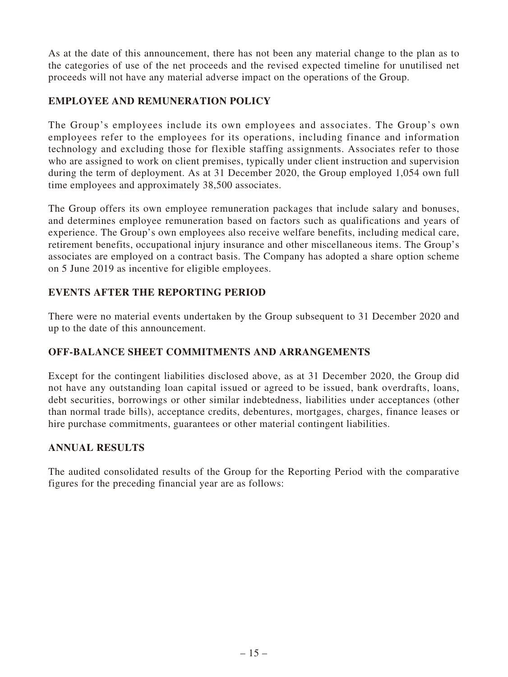As at the date of this announcement, there has not been any material change to the plan as to the categories of use of the net proceeds and the revised expected timeline for unutilised net proceeds will not have any material adverse impact on the operations of the Group.

# **EMPLOYEE AND REMUNERATION POLICY**

The Group's employees include its own employees and associates. The Group's own employees refer to the employees for its operations, including finance and information technology and excluding those for flexible staffing assignments. Associates refer to those who are assigned to work on client premises, typically under client instruction and supervision during the term of deployment. As at 31 December 2020, the Group employed 1,054 own full time employees and approximately 38,500 associates.

The Group offers its own employee remuneration packages that include salary and bonuses, and determines employee remuneration based on factors such as qualifications and years of experience. The Group's own employees also receive welfare benefits, including medical care, retirement benefits, occupational injury insurance and other miscellaneous items. The Group's associates are employed on a contract basis. The Company has adopted a share option scheme on 5 June 2019 as incentive for eligible employees.

# **EVENTS AFTER THE REPORTING PERIOD**

There were no material events undertaken by the Group subsequent to 31 December 2020 and up to the date of this announcement.

# **OFF-BALANCE SHEET COMMITMENTS AND ARRANGEMENTS**

Except for the contingent liabilities disclosed above, as at 31 December 2020, the Group did not have any outstanding loan capital issued or agreed to be issued, bank overdrafts, loans, debt securities, borrowings or other similar indebtedness, liabilities under acceptances (other than normal trade bills), acceptance credits, debentures, mortgages, charges, finance leases or hire purchase commitments, guarantees or other material contingent liabilities.

# **ANNUAL RESULTS**

The audited consolidated results of the Group for the Reporting Period with the comparative figures for the preceding financial year are as follows: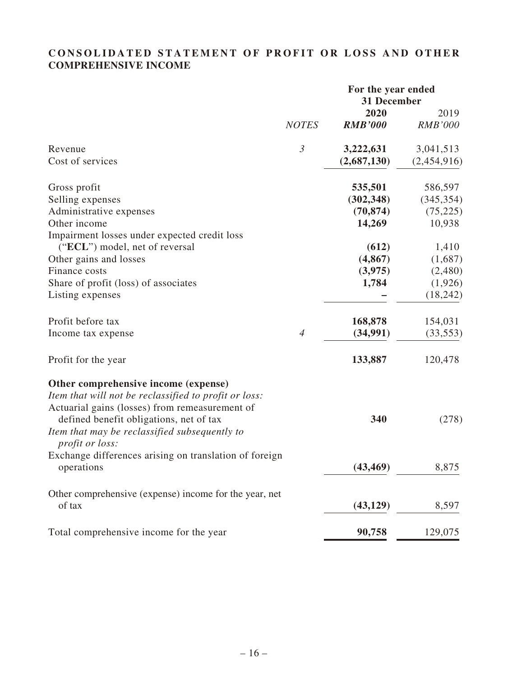# **CONSOLIDATED STATEMENT OF PROFIT OR LOSS AND OTHER COMPREHENSIVE INCOME**

|                                                        |                | For the year ended<br>31 December |                        |
|--------------------------------------------------------|----------------|-----------------------------------|------------------------|
|                                                        | <b>NOTES</b>   | 2020<br><b>RMB'000</b>            | 2019<br><b>RMB'000</b> |
|                                                        |                |                                   |                        |
| Revenue                                                | $\mathfrak{Z}$ | 3,222,631                         | 3,041,513              |
| Cost of services                                       |                | (2,687,130)                       | (2,454,916)            |
| Gross profit                                           |                | 535,501                           | 586,597                |
| Selling expenses                                       |                | (302, 348)                        | (345, 354)             |
| Administrative expenses                                |                | (70, 874)                         | (75, 225)              |
| Other income                                           |                | 14,269                            | 10,938                 |
| Impairment losses under expected credit loss           |                |                                   |                        |
| ("ECL") model, net of reversal                         |                | (612)                             | 1,410                  |
| Other gains and losses                                 |                | (4, 867)                          | (1,687)                |
| Finance costs                                          |                | (3,975)                           | (2,480)                |
| Share of profit (loss) of associates                   |                | 1,784                             | (1,926)                |
| Listing expenses                                       |                |                                   | (18, 242)              |
| Profit before tax                                      |                | 168,878                           | 154,031                |
| Income tax expense                                     | $\overline{4}$ | (34,991)                          | (33, 553)              |
| Profit for the year                                    |                | 133,887                           | 120,478                |
| Other comprehensive income (expense)                   |                |                                   |                        |
| Item that will not be reclassified to profit or loss:  |                |                                   |                        |
| Actuarial gains (losses) from remeasurement of         |                |                                   |                        |
| defined benefit obligations, net of tax                |                | 340                               | (278)                  |
| Item that may be reclassified subsequently to          |                |                                   |                        |
| profit or loss:                                        |                |                                   |                        |
| Exchange differences arising on translation of foreign |                |                                   |                        |
| operations                                             |                | (43, 469)                         | 8,875                  |
| Other comprehensive (expense) income for the year, net |                |                                   |                        |
| of tax                                                 |                | (43, 129)                         | 8,597                  |
| Total comprehensive income for the year                |                | 90,758                            | 129,075                |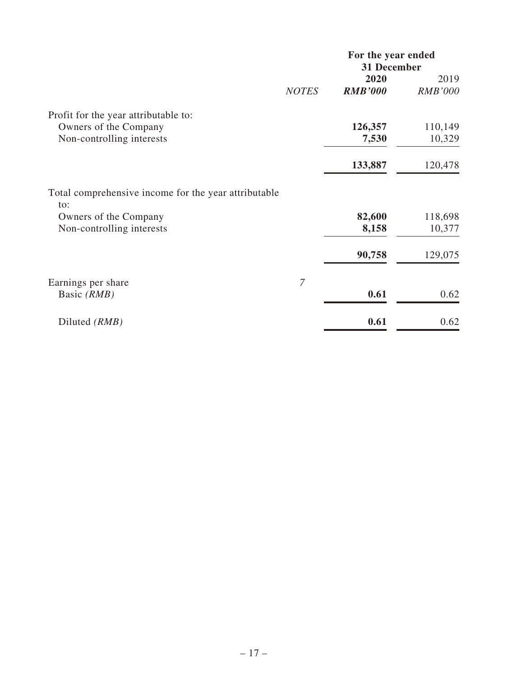|                                                             |                | For the year ended<br>31 December |                |
|-------------------------------------------------------------|----------------|-----------------------------------|----------------|
|                                                             |                | 2020                              | 2019           |
|                                                             | <b>NOTES</b>   | <b>RMB'000</b>                    | <b>RMB'000</b> |
| Profit for the year attributable to:                        |                |                                   |                |
| Owners of the Company                                       |                | 126,357                           | 110,149        |
| Non-controlling interests                                   |                | 7,530                             | 10,329         |
|                                                             |                | 133,887                           | 120,478        |
| Total comprehensive income for the year attributable<br>to: |                |                                   |                |
| Owners of the Company                                       |                | 82,600                            | 118,698        |
| Non-controlling interests                                   |                | 8,158                             | 10,377         |
|                                                             |                | 90,758                            | 129,075        |
| Earnings per share                                          | $\overline{7}$ |                                   |                |
| Basic (RMB)                                                 |                | 0.61                              | 0.62           |
| Diluted (RMB)                                               |                | 0.61                              | 0.62           |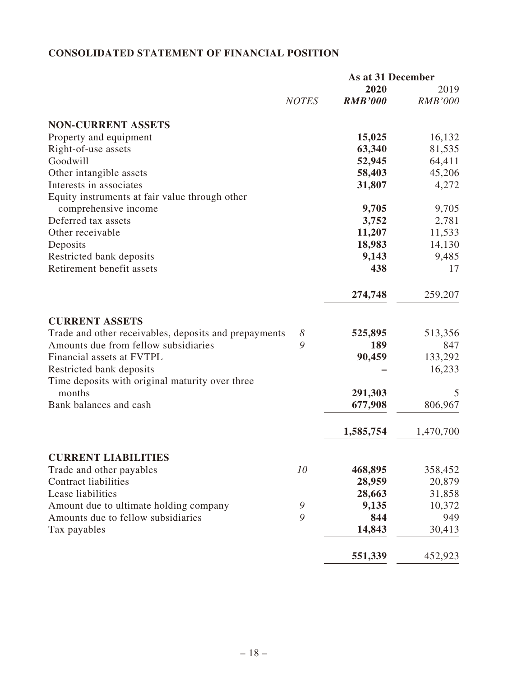# **CONSOLIDATED STATEMENT OF FINANCIAL POSITION**

|                                                       |               | As at 31 December |                |  |
|-------------------------------------------------------|---------------|-------------------|----------------|--|
|                                                       |               | 2020              | 2019           |  |
|                                                       | <b>NOTES</b>  | <b>RMB'000</b>    | <b>RMB'000</b> |  |
| <b>NON-CURRENT ASSETS</b>                             |               |                   |                |  |
| Property and equipment                                |               | 15,025            | 16,132         |  |
| Right-of-use assets                                   |               | 63,340            | 81,535         |  |
| Goodwill                                              |               | 52,945            | 64,411         |  |
| Other intangible assets                               |               | 58,403            | 45,206         |  |
| Interests in associates                               |               | 31,807            | 4,272          |  |
| Equity instruments at fair value through other        |               |                   |                |  |
| comprehensive income                                  |               | 9,705             | 9,705          |  |
| Deferred tax assets                                   |               | 3,752             | 2,781          |  |
| Other receivable                                      |               | 11,207            | 11,533         |  |
| Deposits                                              |               | 18,983            | 14,130         |  |
| Restricted bank deposits                              |               | 9,143             | 9,485          |  |
| Retirement benefit assets                             |               | 438               | 17             |  |
|                                                       |               | 274,748           | 259,207        |  |
| <b>CURRENT ASSETS</b>                                 |               |                   |                |  |
| Trade and other receivables, deposits and prepayments | $\delta$      | 525,895           | 513,356        |  |
| Amounts due from fellow subsidiaries                  | 9             | 189               | 847            |  |
| Financial assets at FVTPL                             |               | 90,459            | 133,292        |  |
| Restricted bank deposits                              |               |                   | 16,233         |  |
| Time deposits with original maturity over three       |               |                   |                |  |
| months                                                |               | 291,303           | 5              |  |
| Bank balances and cash                                |               | 677,908           | 806,967        |  |
|                                                       |               |                   |                |  |
|                                                       |               | 1,585,754         | 1,470,700      |  |
| <b>CURRENT LIABILITIES</b>                            |               |                   |                |  |
| Trade and other payables                              | 10            | 468,895           | 358,452        |  |
| <b>Contract liabilities</b>                           |               | 28,959            | 20,879         |  |
| Lease liabilities                                     |               | 28,663            | 31,858         |  |
| Amount due to ultimate holding company                | $\mathcal{G}$ | 9,135             | 10,372         |  |
| Amounts due to fellow subsidiaries                    | 9             | 844               | 949            |  |
| Tax payables                                          |               | 14,843            | 30,413         |  |
|                                                       |               | 551,339           | 452,923        |  |
|                                                       |               |                   |                |  |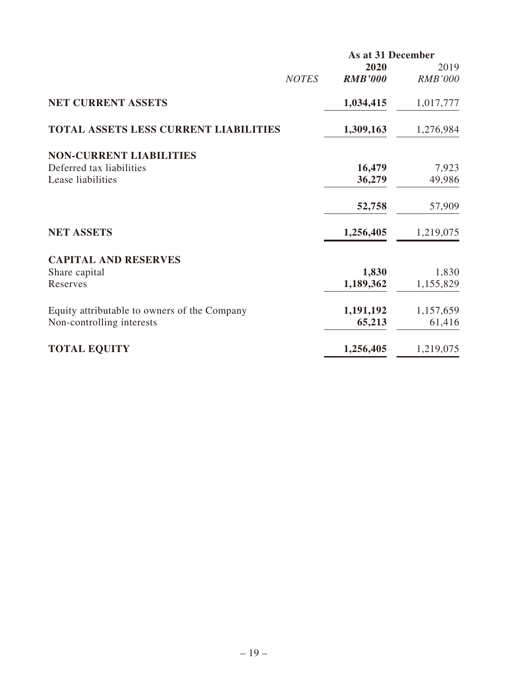|                                              |              | As at 31 December |                |
|----------------------------------------------|--------------|-------------------|----------------|
|                                              |              | 2020              | 2019           |
|                                              | <b>NOTES</b> | <b>RMB'000</b>    | <b>RMB'000</b> |
| <b>NET CURRENT ASSETS</b>                    |              | 1,034,415         | 1,017,777      |
| <b>TOTAL ASSETS LESS CURRENT LIABILITIES</b> |              | 1,309,163         | 1,276,984      |
| <b>NON-CURRENT LIABILITIES</b>               |              |                   |                |
| Deferred tax liabilities                     |              | 16,479            | 7,923          |
| Lease liabilities                            |              | 36,279            | 49,986         |
|                                              |              | 52,758            | 57,909         |
| <b>NET ASSETS</b>                            |              | 1,256,405         | 1,219,075      |
| <b>CAPITAL AND RESERVES</b>                  |              |                   |                |
| Share capital                                |              | 1,830             | 1,830          |
| Reserves                                     |              | 1,189,362         | 1,155,829      |
| Equity attributable to owners of the Company |              | 1,191,192         | 1,157,659      |
| Non-controlling interests                    |              | 65,213            | 61,416         |
| <b>TOTAL EQUITY</b>                          |              | 1,256,405         | 1,219,075      |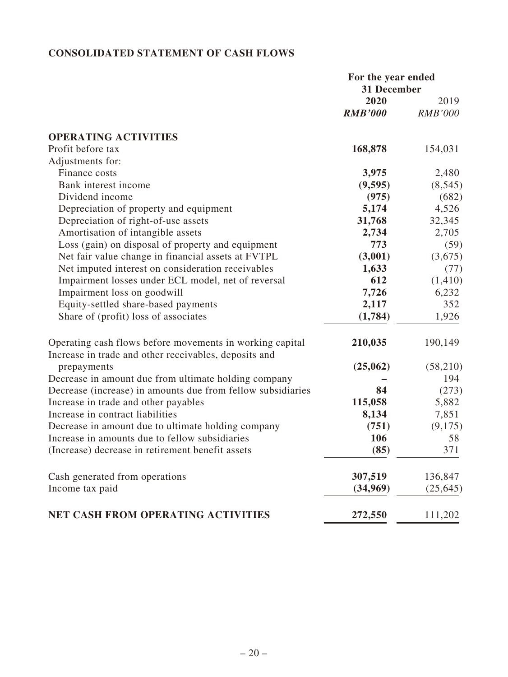# **CONSOLIDATED STATEMENT OF CASH FLOWS**

|                                                                                                                   | For the year ended<br>31 December |                |
|-------------------------------------------------------------------------------------------------------------------|-----------------------------------|----------------|
|                                                                                                                   | 2020                              | 2019           |
|                                                                                                                   | <b>RMB'000</b>                    | <b>RMB'000</b> |
| <b>OPERATING ACTIVITIES</b>                                                                                       |                                   |                |
| Profit before tax                                                                                                 | 168,878                           | 154,031        |
| Adjustments for:                                                                                                  |                                   |                |
| Finance costs                                                                                                     | 3,975                             | 2,480          |
| Bank interest income                                                                                              | (9,595)                           | (8, 545)       |
| Dividend income                                                                                                   | (975)                             | (682)          |
| Depreciation of property and equipment                                                                            | 5,174                             | 4,526          |
| Depreciation of right-of-use assets                                                                               | 31,768                            | 32,345         |
| Amortisation of intangible assets                                                                                 | 2,734                             | 2,705          |
| Loss (gain) on disposal of property and equipment                                                                 | 773                               | (59)           |
| Net fair value change in financial assets at FVTPL                                                                | (3,001)                           | (3,675)        |
| Net imputed interest on consideration receivables                                                                 | 1,633                             | (77)           |
| Impairment losses under ECL model, net of reversal                                                                | 612                               | (1, 410)       |
| Impairment loss on goodwill                                                                                       | 7,726                             | 6,232          |
| Equity-settled share-based payments                                                                               | 2,117                             | 352            |
| Share of (profit) loss of associates                                                                              | (1,784)                           | 1,926          |
| Operating cash flows before movements in working capital<br>Increase in trade and other receivables, deposits and | 210,035                           | 190,149        |
| prepayments                                                                                                       | (25,062)                          | (58,210)       |
| Decrease in amount due from ultimate holding company                                                              |                                   | 194            |
| Decrease (increase) in amounts due from fellow subsidiaries                                                       | 84                                | (273)          |
| Increase in trade and other payables                                                                              | 115,058                           | 5,882          |
| Increase in contract liabilities                                                                                  | 8,134                             | 7,851          |
| Decrease in amount due to ultimate holding company                                                                | (751)                             | (9,175)        |
| Increase in amounts due to fellow subsidiaries                                                                    | 106                               | 58             |
| (Increase) decrease in retirement benefit assets                                                                  | (85)                              | 371            |
| Cash generated from operations                                                                                    | 307,519                           | 136,847        |
| Income tax paid                                                                                                   | (34,969)                          | (25, 645)      |
|                                                                                                                   |                                   |                |
| NET CASH FROM OPERATING ACTIVITIES                                                                                | 272,550                           | 111,202        |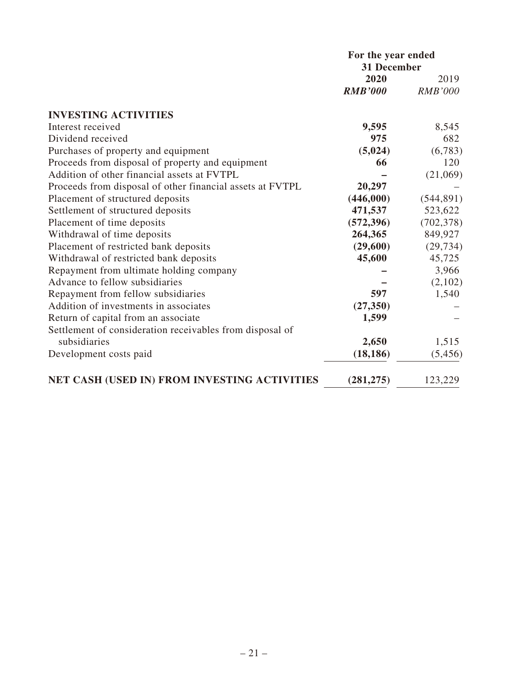|                                                           | For the year ended<br>31 December |                |  |
|-----------------------------------------------------------|-----------------------------------|----------------|--|
|                                                           | 2020                              | 2019           |  |
|                                                           | <b>RMB'000</b>                    | <b>RMB'000</b> |  |
| <b>INVESTING ACTIVITIES</b>                               |                                   |                |  |
| Interest received                                         | 9,595                             | 8,545          |  |
| Dividend received                                         | 975                               | 682            |  |
| Purchases of property and equipment                       | (5,024)                           | (6,783)        |  |
| Proceeds from disposal of property and equipment          | 66                                | 120            |  |
| Addition of other financial assets at FVTPL               |                                   | (21,069)       |  |
| Proceeds from disposal of other financial assets at FVTPL | 20,297                            |                |  |
| Placement of structured deposits                          | (446,000)                         | (544, 891)     |  |
| Settlement of structured deposits                         | 471,537                           | 523,622        |  |
| Placement of time deposits                                | (572, 396)                        | (702, 378)     |  |
| Withdrawal of time deposits                               | 264,365                           | 849,927        |  |
| Placement of restricted bank deposits                     | (29,600)                          | (29, 734)      |  |
| Withdrawal of restricted bank deposits                    | 45,600                            | 45,725         |  |
| Repayment from ultimate holding company                   |                                   | 3,966          |  |
| Advance to fellow subsidiaries                            |                                   | (2,102)        |  |
| Repayment from fellow subsidiaries                        | 597                               | 1,540          |  |
| Addition of investments in associates                     | (27, 350)                         |                |  |
| Return of capital from an associate                       | 1,599                             |                |  |
| Settlement of consideration receivables from disposal of  |                                   |                |  |
| subsidiaries                                              | 2,650                             | 1,515          |  |
| Development costs paid                                    | (18, 186)                         | (5,456)        |  |
| NET CASH (USED IN) FROM INVESTING ACTIVITIES              | (281, 275)                        | 123,229        |  |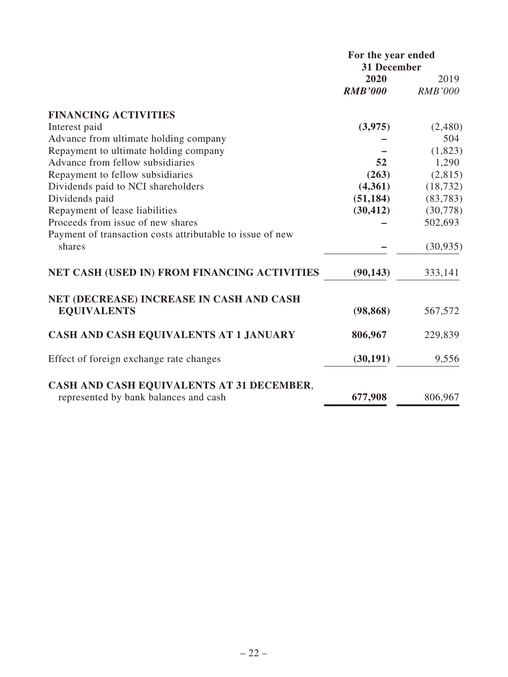|                                                           | For the year ended<br>31 December |                |
|-----------------------------------------------------------|-----------------------------------|----------------|
|                                                           | 2020                              | 2019           |
|                                                           | <b>RMB'000</b>                    | <b>RMB'000</b> |
| <b>FINANCING ACTIVITIES</b>                               |                                   |                |
| Interest paid                                             | (3,975)                           | (2,480)        |
| Advance from ultimate holding company                     |                                   | 504            |
| Repayment to ultimate holding company                     |                                   | (1,823)        |
| Advance from fellow subsidiaries                          | 52                                | 1,290          |
| Repayment to fellow subsidiaries                          | (263)                             | (2,815)        |
| Dividends paid to NCI shareholders                        | (4,361)                           | (18, 732)      |
| Dividends paid                                            | (51, 184)                         | (83, 783)      |
| Repayment of lease liabilities                            | (30, 412)                         | (30,778)       |
| Proceeds from issue of new shares                         |                                   | 502,693        |
| Payment of transaction costs attributable to issue of new |                                   |                |
| shares                                                    |                                   | (30, 935)      |
| NET CASH (USED IN) FROM FINANCING ACTIVITIES              | (90, 143)                         | 333,141        |
| NET (DECREASE) INCREASE IN CASH AND CASH                  |                                   |                |
| <b>EQUIVALENTS</b>                                        | (98, 868)                         | 567,572        |
| CASH AND CASH EQUIVALENTS AT 1 JANUARY                    | 806,967                           | 229,839        |
| Effect of foreign exchange rate changes                   | (30, 191)                         | 9,556          |
| CASH AND CASH EQUIVALENTS AT 31 DECEMBER,                 |                                   |                |
| represented by bank balances and cash                     | 677,908                           | 806,967        |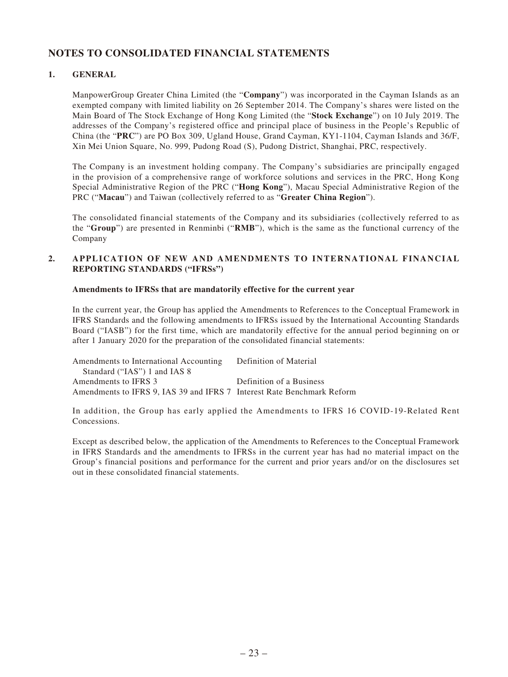# **NOTES TO CONSOLIDATED FINANCIAL STATEMENTS**

### **1. GENERAL**

ManpowerGroup Greater China Limited (the "**Company**") was incorporated in the Cayman Islands as an exempted company with limited liability on 26 September 2014. The Company's shares were listed on the Main Board of The Stock Exchange of Hong Kong Limited (the "**Stock Exchange**") on 10 July 2019. The addresses of the Company's registered office and principal place of business in the People's Republic of China (the "**PRC**") are PO Box 309, Ugland House, Grand Cayman, KY1-1104, Cayman Islands and 36/F, Xin Mei Union Square, No. 999, Pudong Road (S), Pudong District, Shanghai, PRC, respectively.

The Company is an investment holding company. The Company's subsidiaries are principally engaged in the provision of a comprehensive range of workforce solutions and services in the PRC, Hong Kong Special Administrative Region of the PRC ("**Hong Kong**"), Macau Special Administrative Region of the PRC ("**Macau**") and Taiwan (collectively referred to as "**Greater China Region**").

The consolidated financial statements of the Company and its subsidiaries (collectively referred to as the "**Group**") are presented in Renminbi ("**RMB**"), which is the same as the functional currency of the Company

### **2. APPLICATION OF NEW AND AMENDMENTS TO INTERNATIONAL FINANCIAL REPORTING STANDARDS ("IFRSs")**

### **Amendments to IFRSs that are mandatorily effective for the current year**

In the current year, the Group has applied the Amendments to References to the Conceptual Framework in IFRS Standards and the following amendments to IFRSs issued by the International Accounting Standards Board ("IASB") for the first time, which are mandatorily effective for the annual period beginning on or after 1 January 2020 for the preparation of the consolidated financial statements:

| Amendments to International Accounting                                 | Definition of Material   |
|------------------------------------------------------------------------|--------------------------|
| Standard ("IAS") 1 and IAS 8                                           |                          |
| Amendments to IFRS 3                                                   | Definition of a Business |
| Amendments to IFRS 9, IAS 39 and IFRS 7 Interest Rate Benchmark Reform |                          |

In addition, the Group has early applied the Amendments to IFRS 16 COVID-19-Related Rent Concessions.

Except as described below, the application of the Amendments to References to the Conceptual Framework in IFRS Standards and the amendments to IFRSs in the current year has had no material impact on the Group's financial positions and performance for the current and prior years and/or on the disclosures set out in these consolidated financial statements.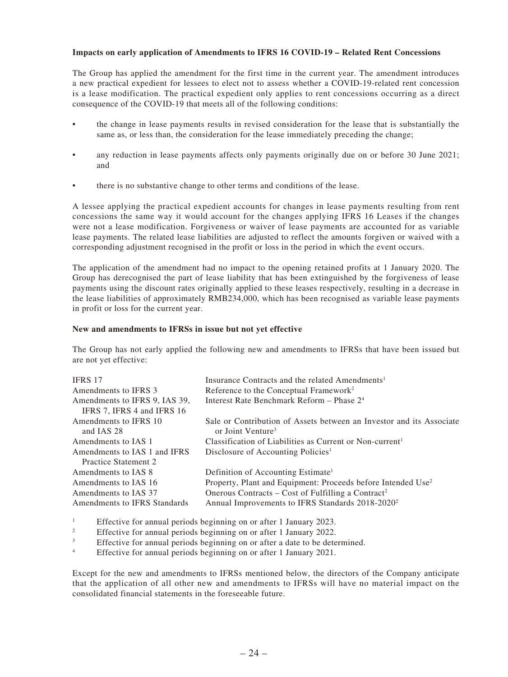### **Impacts on early application of Amendments to IFRS 16 COVID-19 – Related Rent Concessions**

The Group has applied the amendment for the first time in the current year. The amendment introduces a new practical expedient for lessees to elect not to assess whether a COVID-19-related rent concession is a lease modification. The practical expedient only applies to rent concessions occurring as a direct consequence of the COVID-19 that meets all of the following conditions:

- the change in lease payments results in revised consideration for the lease that is substantially the same as, or less than, the consideration for the lease immediately preceding the change;
- any reduction in lease payments affects only payments originally due on or before 30 June 2021; and
- there is no substantive change to other terms and conditions of the lease.

A lessee applying the practical expedient accounts for changes in lease payments resulting from rent concessions the same way it would account for the changes applying IFRS 16 Leases if the changes were not a lease modification. Forgiveness or waiver of lease payments are accounted for as variable lease payments. The related lease liabilities are adjusted to reflect the amounts forgiven or waived with a corresponding adjustment recognised in the profit or loss in the period in which the event occurs.

The application of the amendment had no impact to the opening retained profits at 1 January 2020. The Group has derecognised the part of lease liability that has been extinguished by the forgiveness of lease payments using the discount rates originally applied to these leases respectively, resulting in a decrease in the lease liabilities of approximately RMB234,000, which has been recognised as variable lease payments in profit or loss for the current year.

#### **New and amendments to IFRSs in issue but not yet effective**

The Group has not early applied the following new and amendments to IFRSs that have been issued but are not yet effective:

| <b>IFRS 17</b>                | Insurance Contracts and the related Amendments <sup>1</sup>              |
|-------------------------------|--------------------------------------------------------------------------|
| Amendments to IFRS 3          | Reference to the Conceptual Framework <sup>2</sup>                       |
| Amendments to IFRS 9, IAS 39, | Interest Rate Benchmark Reform - Phase 2 <sup>4</sup>                    |
| IFRS 7, IFRS 4 and IFRS 16    |                                                                          |
| Amendments to IFRS 10         | Sale or Contribution of Assets between an Investor and its Associate     |
| and IAS 28                    | or Joint Venture <sup>3</sup>                                            |
| Amendments to IAS 1           | Classification of Liabilities as Current or Non-current <sup>1</sup>     |
| Amendments to IAS 1 and IFRS  | Disclosure of Accounting Policies <sup>1</sup>                           |
| Practice Statement 2          |                                                                          |
| Amendments to IAS 8           | Definition of Accounting Estimate <sup>1</sup>                           |
| Amendments to IAS 16          | Property, Plant and Equipment: Proceeds before Intended Use <sup>2</sup> |
| Amendments to IAS 37          | Onerous Contracts – Cost of Fulfilling a Contract <sup>2</sup>           |
| Amendments to IFRS Standards  | Annual Improvements to IFRS Standards 2018-2020 <sup>2</sup>             |
|                               |                                                                          |

1 Effective for annual periods beginning on or after 1 January 2023.

- 2 Effective for annual periods beginning on or after 1 January 2022.
- 3 Effective for annual periods beginning on or after a date to be determined.
- 4 Effective for annual periods beginning on or after 1 January 2021.

Except for the new and amendments to IFRSs mentioned below, the directors of the Company anticipate that the application of all other new and amendments to IFRSs will have no material impact on the consolidated financial statements in the foreseeable future.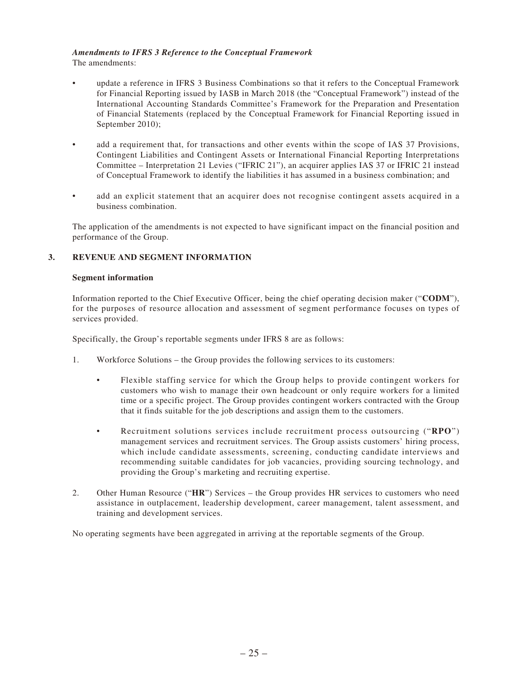## *Amendments to IFRS 3 Reference to the Conceptual Framework*

The amendments:

- update a reference in IFRS 3 Business Combinations so that it refers to the Conceptual Framework for Financial Reporting issued by IASB in March 2018 (the "Conceptual Framework") instead of the International Accounting Standards Committee's Framework for the Preparation and Presentation of Financial Statements (replaced by the Conceptual Framework for Financial Reporting issued in September 2010);
- add a requirement that, for transactions and other events within the scope of IAS 37 Provisions, Contingent Liabilities and Contingent Assets or International Financial Reporting Interpretations Committee – Interpretation 21 Levies ("IFRIC 21"), an acquirer applies IAS 37 or IFRIC 21 instead of Conceptual Framework to identify the liabilities it has assumed in a business combination; and
- add an explicit statement that an acquirer does not recognise contingent assets acquired in a business combination.

The application of the amendments is not expected to have significant impact on the financial position and performance of the Group.

### **3. REVENUE AND SEGMENT INFORMATION**

### **Segment information**

Information reported to the Chief Executive Officer, being the chief operating decision maker ("**CODM**"), for the purposes of resource allocation and assessment of segment performance focuses on types of services provided.

Specifically, the Group's reportable segments under IFRS 8 are as follows:

- 1. Workforce Solutions the Group provides the following services to its customers:
	- Flexible staffing service for which the Group helps to provide contingent workers for customers who wish to manage their own headcount or only require workers for a limited time or a specific project. The Group provides contingent workers contracted with the Group that it finds suitable for the job descriptions and assign them to the customers.
	- Recruitment solutions services include recruitment process outsourcing ("**RPO**") management services and recruitment services. The Group assists customers' hiring process, which include candidate assessments, screening, conducting candidate interviews and recommending suitable candidates for job vacancies, providing sourcing technology, and providing the Group's marketing and recruiting expertise.
- 2. Other Human Resource ("**HR**") Services the Group provides HR services to customers who need assistance in outplacement, leadership development, career management, talent assessment, and training and development services.

No operating segments have been aggregated in arriving at the reportable segments of the Group.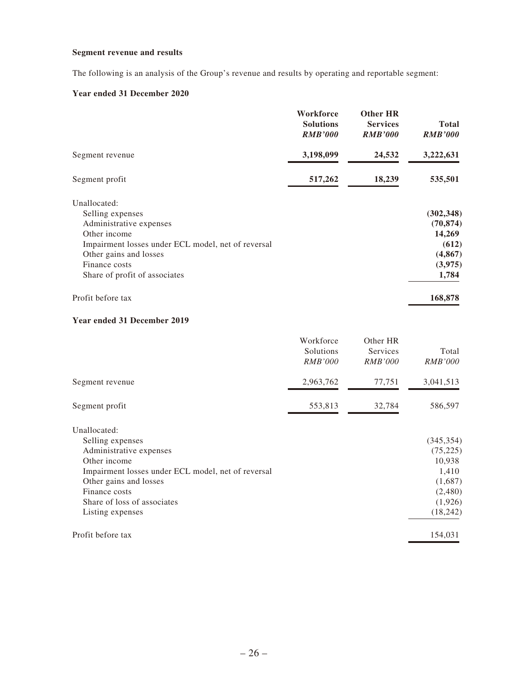## **Segment revenue and results**

The following is an analysis of the Group's revenue and results by operating and reportable segment:

## **Year ended 31 December 2020**

|                                                    | Workforce<br><b>Solutions</b><br><b>RMB'000</b> | <b>Other HR</b><br><b>Services</b><br><b>RMB'000</b> | <b>Total</b><br><b>RMB'000</b> |
|----------------------------------------------------|-------------------------------------------------|------------------------------------------------------|--------------------------------|
| Segment revenue                                    | 3,198,099                                       | 24,532                                               | 3,222,631                      |
| Segment profit                                     | 517,262                                         | 18,239                                               | 535,501                        |
| Unallocated:                                       |                                                 |                                                      |                                |
| Selling expenses                                   |                                                 |                                                      | (302, 348)                     |
| Administrative expenses                            |                                                 |                                                      | (70, 874)                      |
| Other income                                       |                                                 |                                                      | 14,269                         |
| Impairment losses under ECL model, net of reversal |                                                 |                                                      | (612)                          |
| Other gains and losses                             |                                                 |                                                      | (4, 867)                       |
| Finance costs                                      |                                                 |                                                      | (3,975)                        |
| Share of profit of associates                      |                                                 |                                                      | 1,784                          |
| Profit before tax                                  |                                                 |                                                      | 168,878                        |
| Year ended 31 December 2019                        |                                                 |                                                      |                                |

|                                                    | Workforce<br>Solutions<br><b>RMB'000</b> | Other HR<br>Services<br><i>RMB'000</i> | Total<br><i>RMB'000</i> |
|----------------------------------------------------|------------------------------------------|----------------------------------------|-------------------------|
| Segment revenue                                    | 2,963,762                                | 77,751                                 | 3,041,513               |
| Segment profit                                     | 553,813                                  | 32,784                                 | 586,597                 |
| Unallocated:                                       |                                          |                                        |                         |
| Selling expenses                                   |                                          |                                        | (345, 354)              |
| Administrative expenses                            |                                          |                                        | (75, 225)               |
| Other income                                       |                                          |                                        | 10,938                  |
| Impairment losses under ECL model, net of reversal |                                          |                                        | 1,410                   |
| Other gains and losses                             |                                          |                                        | (1,687)                 |
| Finance costs                                      |                                          |                                        | (2,480)                 |
| Share of loss of associates                        |                                          |                                        | (1,926)                 |
| Listing expenses                                   |                                          |                                        | (18, 242)               |
| Profit before tax                                  |                                          |                                        | 154,031                 |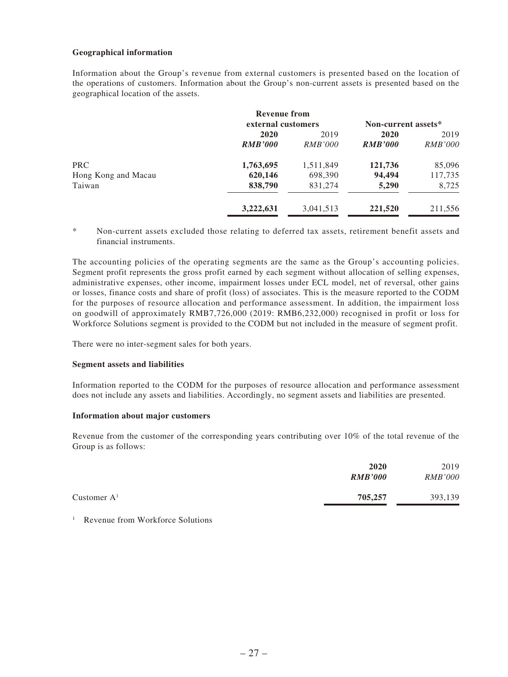### **Geographical information**

Information about the Group's revenue from external customers is presented based on the location of the operations of customers. Information about the Group's non-current assets is presented based on the geographical location of the assets.

|                     | <b>Revenue from</b> |                |                     |                |
|---------------------|---------------------|----------------|---------------------|----------------|
|                     | external customers  |                | Non-current assets* |                |
|                     | 2020                | 2019           | 2020                | 2019           |
|                     | <b>RMB'000</b>      | <i>RMB'000</i> | <b>RMB'000</b>      | <i>RMB'000</i> |
| <b>PRC</b>          | 1,763,695           | 1,511,849      | 121,736             | 85,096         |
| Hong Kong and Macau | 620,146             | 698,390        | 94,494              | 117,735        |
| Taiwan              | 838,790             | 831,274        | 5,290               | 8,725          |
|                     | 3,222,631           | 3,041,513      | 221,520             | 211,556        |

\* Non-current assets excluded those relating to deferred tax assets, retirement benefit assets and financial instruments.

The accounting policies of the operating segments are the same as the Group's accounting policies. Segment profit represents the gross profit earned by each segment without allocation of selling expenses, administrative expenses, other income, impairment losses under ECL model, net of reversal, other gains or losses, finance costs and share of profit (loss) of associates. This is the measure reported to the CODM for the purposes of resource allocation and performance assessment. In addition, the impairment loss on goodwill of approximately RMB7,726,000 (2019: RMB6,232,000) recognised in profit or loss for Workforce Solutions segment is provided to the CODM but not included in the measure of segment profit.

There were no inter-segment sales for both years.

#### **Segment assets and liabilities**

Information reported to the CODM for the purposes of resource allocation and performance assessment does not include any assets and liabilities. Accordingly, no segment assets and liabilities are presented.

#### **Information about major customers**

Revenue from the customer of the corresponding years contributing over 10% of the total revenue of the Group is as follows:

|               | 2020<br><b>RMB'000</b> | 2019<br><i>RMB'000</i> |
|---------------|------------------------|------------------------|
| Customer $A1$ | 705,257                | 393,139                |

<sup>1</sup> Revenue from Workforce Solutions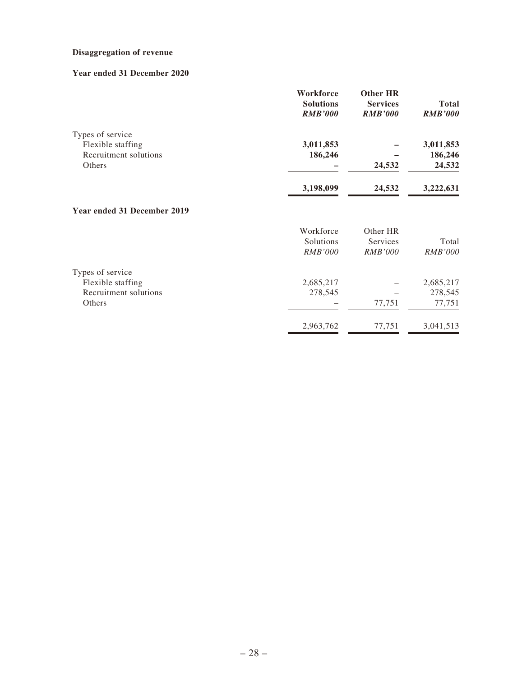## **Disaggregation of revenue**

## **Year ended 31 December 2020**

| Workforce<br><b>Solutions</b><br><b>RMB'000</b> | Other HR<br><b>Services</b><br><b>RMB'000</b> | <b>Total</b><br><b>RMB'000</b> |
|-------------------------------------------------|-----------------------------------------------|--------------------------------|
|                                                 |                                               |                                |
| 3,011,853                                       |                                               | 3,011,853                      |
| 186,246                                         |                                               | 186,246                        |
|                                                 | 24,532                                        | 24,532                         |
| 3,198,099                                       | 24,532                                        | 3,222,631                      |
|                                                 |                                               |                                |

## **Year ended 31 December 2019**

|                       | Workforce<br>Solutions<br><i>RMB'000</i> | Other HR<br>Services<br><i>RMB'000</i> | Total<br><i>RMB'000</i> |
|-----------------------|------------------------------------------|----------------------------------------|-------------------------|
| Types of service      |                                          |                                        |                         |
| Flexible staffing     | 2,685,217                                |                                        | 2,685,217               |
| Recruitment solutions | 278,545                                  |                                        | 278,545                 |
| <b>Others</b>         |                                          | 77,751                                 | 77,751                  |
|                       | 2,963,762                                | 77,751                                 | 3,041,513               |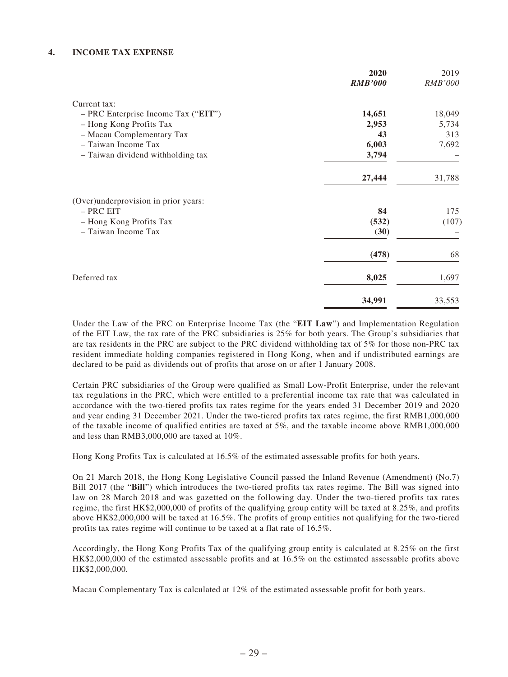### **4. INCOME TAX EXPENSE**

|                                      | 2020           | 2019    |
|--------------------------------------|----------------|---------|
|                                      | <b>RMB'000</b> | RMB'000 |
| Current tax:                         |                |         |
| - PRC Enterprise Income Tax ("EIT")  | 14,651         | 18,049  |
| - Hong Kong Profits Tax              | 2,953          | 5,734   |
| - Macau Complementary Tax            | 43             | 313     |
| - Taiwan Income Tax                  | 6,003          | 7,692   |
| - Taiwan dividend withholding tax    | 3,794          |         |
|                                      | 27,444         | 31,788  |
| (Over)underprovision in prior years: |                |         |
| - PRC EIT                            | 84             | 175     |
| - Hong Kong Profits Tax              | (532)          | (107)   |
| - Taiwan Income Tax                  | (30)           |         |
|                                      | (478)          | 68      |
| Deferred tax                         | 8,025          | 1,697   |
|                                      | 34,991         | 33,553  |

Under the Law of the PRC on Enterprise Income Tax (the "**EIT Law**") and Implementation Regulation of the EIT Law, the tax rate of the PRC subsidiaries is 25% for both years. The Group's subsidiaries that are tax residents in the PRC are subject to the PRC dividend withholding tax of 5% for those non-PRC tax resident immediate holding companies registered in Hong Kong, when and if undistributed earnings are declared to be paid as dividends out of profits that arose on or after 1 January 2008.

Certain PRC subsidiaries of the Group were qualified as Small Low-Profit Enterprise, under the relevant tax regulations in the PRC, which were entitled to a preferential income tax rate that was calculated in accordance with the two-tiered profits tax rates regime for the years ended 31 December 2019 and 2020 and year ending 31 December 2021. Under the two-tiered profits tax rates regime, the first RMB1,000,000 of the taxable income of qualified entities are taxed at 5%, and the taxable income above RMB1,000,000 and less than RMB3,000,000 are taxed at 10%.

Hong Kong Profits Tax is calculated at 16.5% of the estimated assessable profits for both years.

On 21 March 2018, the Hong Kong Legislative Council passed the Inland Revenue (Amendment) (No.7) Bill 2017 (the "**Bill**") which introduces the two-tiered profits tax rates regime. The Bill was signed into law on 28 March 2018 and was gazetted on the following day. Under the two-tiered profits tax rates regime, the first HK\$2,000,000 of profits of the qualifying group entity will be taxed at 8.25%, and profits above HK\$2,000,000 will be taxed at 16.5%. The profits of group entities not qualifying for the two-tiered profits tax rates regime will continue to be taxed at a flat rate of 16.5%.

Accordingly, the Hong Kong Profits Tax of the qualifying group entity is calculated at 8.25% on the first HK\$2,000,000 of the estimated assessable profits and at 16.5% on the estimated assessable profits above HK\$2,000,000.

Macau Complementary Tax is calculated at 12% of the estimated assessable profit for both years.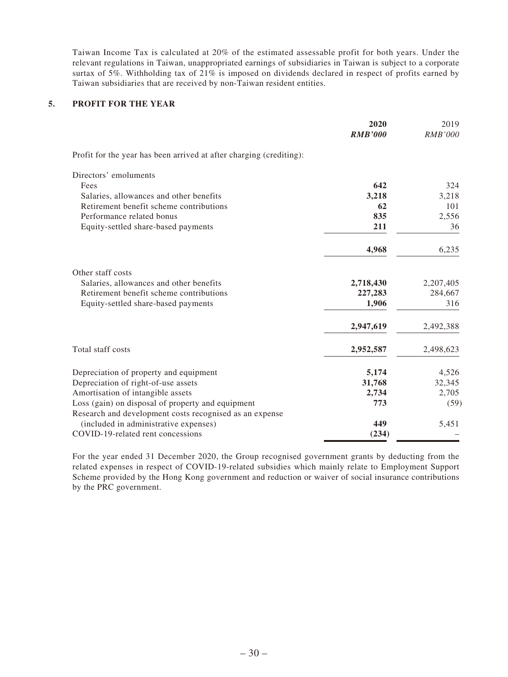Taiwan Income Tax is calculated at 20% of the estimated assessable profit for both years. Under the relevant regulations in Taiwan, unappropriated earnings of subsidiaries in Taiwan is subject to a corporate surtax of 5%. Withholding tax of 21% is imposed on dividends declared in respect of profits earned by Taiwan subsidiaries that are received by non-Taiwan resident entities.

### **5. PROFIT FOR THE YEAR**

|                                                                     | 2020<br><b>RMB'000</b> | 2019<br><i>RMB'000</i> |
|---------------------------------------------------------------------|------------------------|------------------------|
| Profit for the year has been arrived at after charging (crediting): |                        |                        |
| Directors' emoluments                                               |                        |                        |
| Fees                                                                | 642                    | 324                    |
| Salaries, allowances and other benefits                             | 3,218                  | 3,218                  |
| Retirement benefit scheme contributions                             | 62                     | 101                    |
| Performance related bonus                                           | 835                    | 2,556                  |
| Equity-settled share-based payments                                 | 211                    | 36                     |
|                                                                     | 4,968                  | 6,235                  |
| Other staff costs                                                   |                        |                        |
| Salaries, allowances and other benefits                             | 2,718,430              | 2,207,405              |
| Retirement benefit scheme contributions                             | 227,283                | 284,667                |
| Equity-settled share-based payments                                 | 1,906                  | 316                    |
|                                                                     | 2,947,619              | 2,492,388              |
| Total staff costs                                                   | 2,952,587              | 2,498,623              |
| Depreciation of property and equipment                              | 5,174                  | 4,526                  |
| Depreciation of right-of-use assets                                 | 31,768                 | 32,345                 |
| Amortisation of intangible assets                                   | 2,734                  | 2,705                  |
| Loss (gain) on disposal of property and equipment                   | 773                    | (59)                   |
| Research and development costs recognised as an expense             |                        |                        |
| (included in administrative expenses)                               | 449                    | 5,451                  |
| COVID-19-related rent concessions                                   | (234)                  |                        |

For the year ended 31 December 2020, the Group recognised government grants by deducting from the related expenses in respect of COVID-19-related subsidies which mainly relate to Employment Support Scheme provided by the Hong Kong government and reduction or waiver of social insurance contributions by the PRC government.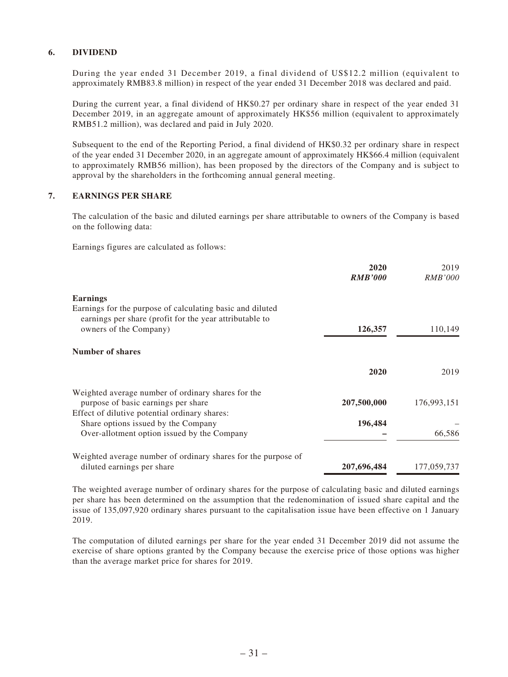### **6. DIVIDEND**

During the year ended 31 December 2019, a final dividend of US\$12.2 million (equivalent to approximately RMB83.8 million) in respect of the year ended 31 December 2018 was declared and paid.

During the current year, a final dividend of HK\$0.27 per ordinary share in respect of the year ended 31 December 2019, in an aggregate amount of approximately HK\$56 million (equivalent to approximately RMB51.2 million), was declared and paid in July 2020.

Subsequent to the end of the Reporting Period, a final dividend of HK\$0.32 per ordinary share in respect of the year ended 31 December 2020, in an aggregate amount of approximately HK\$66.4 million (equivalent to approximately RMB56 million), has been proposed by the directors of the Company and is subject to approval by the shareholders in the forthcoming annual general meeting.

### **7. EARNINGS PER SHARE**

The calculation of the basic and diluted earnings per share attributable to owners of the Company is based on the following data:

Earnings figures are calculated as follows:

|                                                                                                                      | 2020<br><b>RMB'000</b> | 2019<br><i>RMB'000</i> |
|----------------------------------------------------------------------------------------------------------------------|------------------------|------------------------|
| <b>Earnings</b>                                                                                                      |                        |                        |
| Earnings for the purpose of calculating basic and diluted<br>earnings per share (profit for the year attributable to |                        |                        |
| owners of the Company)                                                                                               | 126,357                | 110,149                |
| Number of shares                                                                                                     |                        |                        |
|                                                                                                                      | 2020                   | 2019                   |
| Weighted average number of ordinary shares for the                                                                   |                        |                        |
| purpose of basic earnings per share                                                                                  | 207,500,000            | 176,993,151            |
| Effect of dilutive potential ordinary shares:                                                                        |                        |                        |
| Share options issued by the Company                                                                                  | 196,484                |                        |
| Over-allotment option issued by the Company                                                                          |                        | 66,586                 |
| Weighted average number of ordinary shares for the purpose of                                                        |                        |                        |
| diluted earnings per share                                                                                           | 207,696,484            | 177,059,737            |

The weighted average number of ordinary shares for the purpose of calculating basic and diluted earnings per share has been determined on the assumption that the redenomination of issued share capital and the issue of 135,097,920 ordinary shares pursuant to the capitalisation issue have been effective on 1 January 2019.

The computation of diluted earnings per share for the year ended 31 December 2019 did not assume the exercise of share options granted by the Company because the exercise price of those options was higher than the average market price for shares for 2019.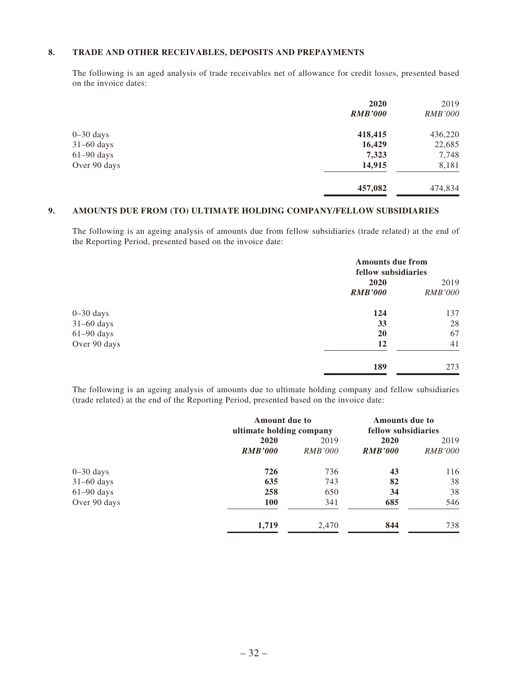### **8. TRADE AND OTHER RECEIVABLES, DEPOSITS AND PREPAYMENTS**

The following is an aged analysis of trade receivables net of allowance for credit losses, presented based on the invoice dates:

|              | 2020           | 2019           |
|--------------|----------------|----------------|
|              | <b>RMB'000</b> | <b>RMB'000</b> |
| $0-30$ days  | 418,415        | 436,220        |
| $31-60$ days | 16,429         | 22,685         |
| $61-90$ days | 7,323          | 7,748          |
| Over 90 days | 14,915         | 8,181          |
|              | 457,082        | 474,834        |

### **9. AMOUNTS DUE FROM (TO) ULTIMATE HOLDING COMPANY/FELLOW SUBSIDIARIES**

The following is an ageing analysis of amounts due from fellow subsidiaries (trade related) at the end of the Reporting Period, presented based on the invoice date:

|               |                | <b>Amounts due from</b><br>fellow subsidiaries |  |
|---------------|----------------|------------------------------------------------|--|
|               | 2020           | 2019                                           |  |
|               | <b>RMB'000</b> | <b>RMB'000</b>                                 |  |
| $0 - 30$ days | 124            | 137                                            |  |
| $31-60$ days  | 33             | 28                                             |  |
| $61-90$ days  | 20             | 67                                             |  |
| Over 90 days  | 12             | 41                                             |  |
|               | 189            | 273                                            |  |

The following is an ageing analysis of amounts due to ultimate holding company and fellow subsidiaries (trade related) at the end of the Reporting Period, presented based on the invoice date:

|               | <b>Amount due to</b><br>ultimate holding company |                | <b>Amounts due to</b><br>fellow subsidiaries |                |
|---------------|--------------------------------------------------|----------------|----------------------------------------------|----------------|
|               | 2020                                             | 2019           | <b>2020</b>                                  | 2019           |
|               | <b>RMB'000</b>                                   | <i>RMB'000</i> | <b>RMB'000</b>                               | <i>RMB'000</i> |
| $0 - 30$ days | 726                                              | 736            | 43                                           | 116            |
| $31-60$ days  | 635                                              | 743            | 82                                           | 38             |
| $61-90$ days  | 258                                              | 650            | 34                                           | 38             |
| Over 90 days  | <b>100</b>                                       | 341            | 685                                          | 546            |
|               | 1,719                                            | 2,470          | 844                                          | 738            |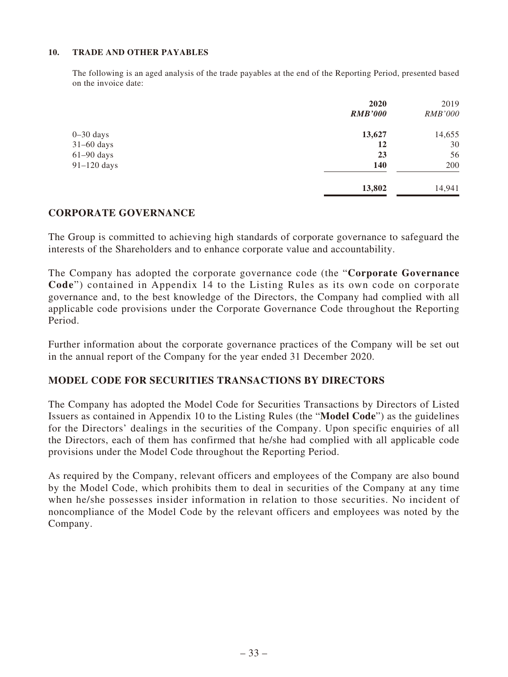### **10. TRADE AND OTHER PAYABLES**

The following is an aged analysis of the trade payables at the end of the Reporting Period, presented based on the invoice date:

|               | 2020           | 2019           |
|---------------|----------------|----------------|
|               | <b>RMB'000</b> | <b>RMB'000</b> |
| $0 - 30$ days | 13,627         | 14,655         |
| $31-60$ days  | 12             | 30             |
| $61-90$ days  | 23             | 56             |
| $91-120$ days | <b>140</b>     | 200            |
|               | 13,802         | 14,941         |

## **CORPORATE GOVERNANCE**

The Group is committed to achieving high standards of corporate governance to safeguard the interests of the Shareholders and to enhance corporate value and accountability.

The Company has adopted the corporate governance code (the "**Corporate Governance Code**") contained in Appendix 14 to the Listing Rules as its own code on corporate governance and, to the best knowledge of the Directors, the Company had complied with all applicable code provisions under the Corporate Governance Code throughout the Reporting Period.

Further information about the corporate governance practices of the Company will be set out in the annual report of the Company for the year ended 31 December 2020.

## **MODEL CODE FOR SECURITIES TRANSACTIONS BY DIRECTORS**

The Company has adopted the Model Code for Securities Transactions by Directors of Listed Issuers as contained in Appendix 10 to the Listing Rules (the "**Model Code**") as the guidelines for the Directors' dealings in the securities of the Company. Upon specific enquiries of all the Directors, each of them has confirmed that he/she had complied with all applicable code provisions under the Model Code throughout the Reporting Period.

As required by the Company, relevant officers and employees of the Company are also bound by the Model Code, which prohibits them to deal in securities of the Company at any time when he/she possesses insider information in relation to those securities. No incident of noncompliance of the Model Code by the relevant officers and employees was noted by the Company.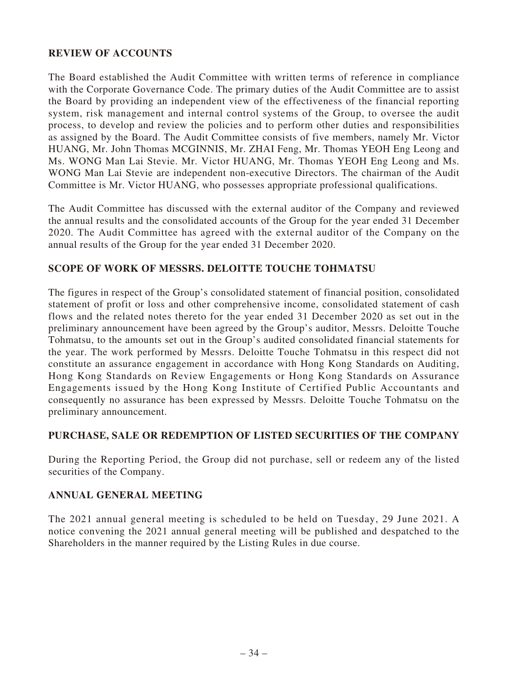# **REVIEW OF ACCOUNTS**

The Board established the Audit Committee with written terms of reference in compliance with the Corporate Governance Code. The primary duties of the Audit Committee are to assist the Board by providing an independent view of the effectiveness of the financial reporting system, risk management and internal control systems of the Group, to oversee the audit process, to develop and review the policies and to perform other duties and responsibilities as assigned by the Board. The Audit Committee consists of five members, namely Mr. Victor HUANG, Mr. John Thomas MCGINNIS, Mr. ZHAI Feng, Mr. Thomas YEOH Eng Leong and Ms. WONG Man Lai Stevie. Mr. Victor HUANG, Mr. Thomas YEOH Eng Leong and Ms. WONG Man Lai Stevie are independent non-executive Directors. The chairman of the Audit Committee is Mr. Victor HUANG, who possesses appropriate professional qualifications.

The Audit Committee has discussed with the external auditor of the Company and reviewed the annual results and the consolidated accounts of the Group for the year ended 31 December 2020. The Audit Committee has agreed with the external auditor of the Company on the annual results of the Group for the year ended 31 December 2020.

# **SCOPE OF WORK OF MESSRS. DELOITTE TOUCHE TOHMATSU**

The figures in respect of the Group's consolidated statement of financial position, consolidated statement of profit or loss and other comprehensive income, consolidated statement of cash flows and the related notes thereto for the year ended 31 December 2020 as set out in the preliminary announcement have been agreed by the Group's auditor, Messrs. Deloitte Touche Tohmatsu, to the amounts set out in the Group's audited consolidated financial statements for the year. The work performed by Messrs. Deloitte Touche Tohmatsu in this respect did not constitute an assurance engagement in accordance with Hong Kong Standards on Auditing, Hong Kong Standards on Review Engagements or Hong Kong Standards on Assurance Engagements issued by the Hong Kong Institute of Certified Public Accountants and consequently no assurance has been expressed by Messrs. Deloitte Touche Tohmatsu on the preliminary announcement.

## **PURCHASE, SALE OR REDEMPTION OF LISTED SECURITIES OF THE COMPANY**

During the Reporting Period, the Group did not purchase, sell or redeem any of the listed securities of the Company.

## **ANNUAL GENERAL MEETING**

The 2021 annual general meeting is scheduled to be held on Tuesday, 29 June 2021. A notice convening the 2021 annual general meeting will be published and despatched to the Shareholders in the manner required by the Listing Rules in due course.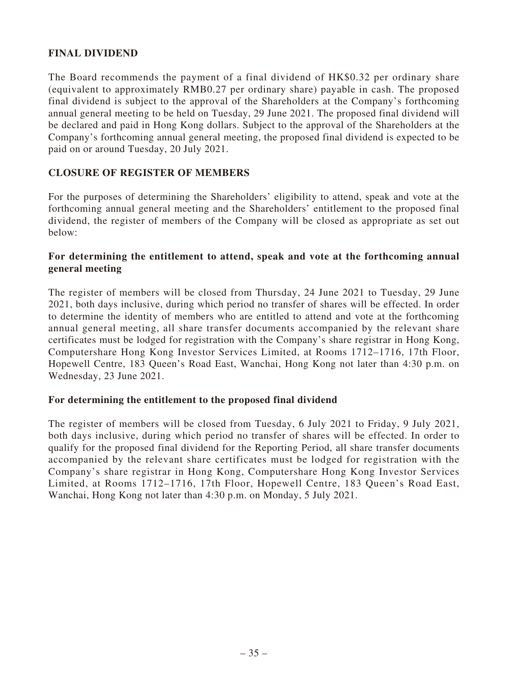# **FINAL DIVIDEND**

The Board recommends the payment of a final dividend of HK\$0.32 per ordinary share (equivalent to approximately RMB0.27 per ordinary share) payable in cash. The proposed final dividend is subject to the approval of the Shareholders at the Company's forthcoming annual general meeting to be held on Tuesday, 29 June 2021. The proposed final dividend will be declared and paid in Hong Kong dollars. Subject to the approval of the Shareholders at the Company's forthcoming annual general meeting, the proposed final dividend is expected to be paid on or around Tuesday, 20 July 2021.

## **CLOSURE OF REGISTER OF MEMBERS**

For the purposes of determining the Shareholders' eligibility to attend, speak and vote at the forthcoming annual general meeting and the Shareholders' entitlement to the proposed final dividend, the register of members of the Company will be closed as appropriate as set out below:

## **For determining the entitlement to attend, speak and vote at the forthcoming annual general meeting**

The register of members will be closed from Thursday, 24 June 2021 to Tuesday, 29 June 2021, both days inclusive, during which period no transfer of shares will be effected. In order to determine the identity of members who are entitled to attend and vote at the forthcoming annual general meeting, all share transfer documents accompanied by the relevant share certificates must be lodged for registration with the Company's share registrar in Hong Kong, Computershare Hong Kong Investor Services Limited, at Rooms 1712–1716, 17th Floor, Hopewell Centre, 183 Queen's Road East, Wanchai, Hong Kong not later than 4:30 p.m. on Wednesday, 23 June 2021.

## **For determining the entitlement to the proposed final dividend**

The register of members will be closed from Tuesday, 6 July 2021 to Friday, 9 July 2021, both days inclusive, during which period no transfer of shares will be effected. In order to qualify for the proposed final dividend for the Reporting Period, all share transfer documents accompanied by the relevant share certificates must be lodged for registration with the Company's share registrar in Hong Kong, Computershare Hong Kong Investor Services Limited, at Rooms 1712–1716, 17th Floor, Hopewell Centre, 183 Queen's Road East, Wanchai, Hong Kong not later than 4:30 p.m. on Monday, 5 July 2021.